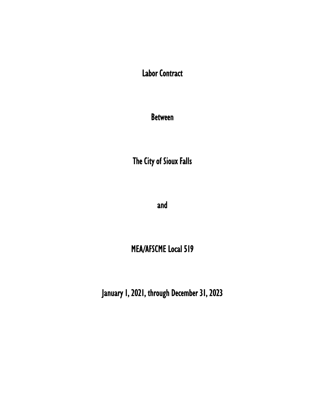Labor Contract

Between

The City of Sioux Falls

and

# MEA/AFSCME Local 519

January 1, 2021, through December 31, 2023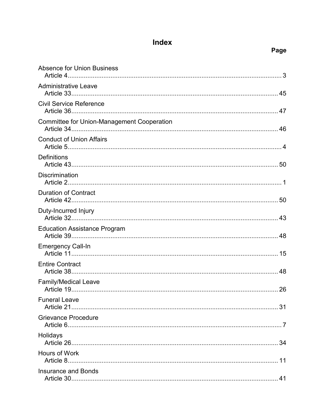# Index

| <b>Absence for Union Business</b>                 |
|---------------------------------------------------|
| <b>Administrative Leave</b>                       |
| <b>Civil Service Reference</b>                    |
| <b>Committee for Union-Management Cooperation</b> |
| <b>Conduct of Union Affairs</b>                   |
| <b>Definitions</b>                                |
| <b>Discrimination</b>                             |
| <b>Duration of Contract</b>                       |
| Duty-Incurred Injury                              |
| <b>Education Assistance Program</b>               |
| <b>Emergency Call-In</b>                          |
| <b>Entire Contract</b>                            |
| <b>Family/Medical Leave</b>                       |
| <b>Funeral Leave</b><br>31                        |
| <b>Grievance Procedure</b>                        |
| Holidays                                          |
| Hours of Work                                     |
| <b>Insurance and Bonds</b>                        |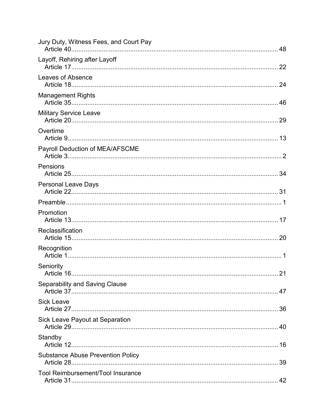| Jury Duty, Witness Fees, and Court Pay   |    |
|------------------------------------------|----|
| Layoff, Rehiring after Layoff            |    |
| Leaves of Absence                        |    |
| <b>Management Rights</b>                 |    |
| <b>Military Service Leave</b>            |    |
| Overtime                                 |    |
| Payroll Deduction of MEA/AFSCME          |    |
| Pensions                                 |    |
| <b>Personal Leave Days</b>               |    |
|                                          |    |
| Promotion                                |    |
| Reclassification                         |    |
| Recognition                              |    |
| Seniority                                |    |
| <b>Separability and Saving Clause</b>    |    |
| <b>Sick Leave</b>                        |    |
| Sick Leave Payout at Separation          | 40 |
| Standby                                  |    |
| <b>Substance Abuse Prevention Policy</b> |    |
| <b>Tool Reimbursement/Tool Insurance</b> |    |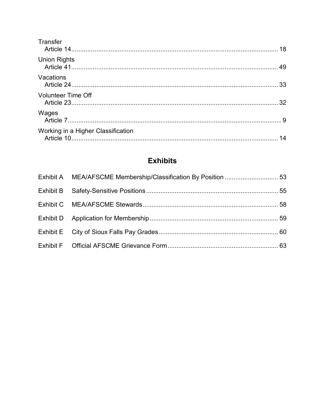| Transfer                           |    |
|------------------------------------|----|
| <b>Union Rights</b>                |    |
| Vacations                          |    |
| <b>Volunteer Time Off</b>          |    |
| Wages                              |    |
| Working in a Higher Classification | 14 |

# **Exhibits**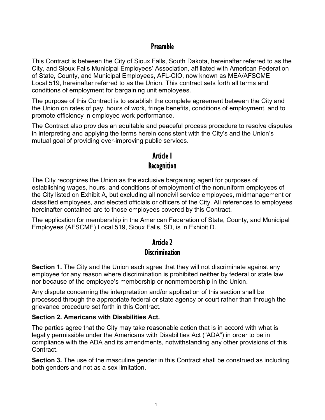## Preamble

This Contract is between the City of Sioux Falls, South Dakota, hereinafter referred to as the City, and Sioux Falls Municipal Employees' Association, affiliated with American Federation of State, County, and Municipal Employees, AFL-CIO, now known as MEA/AFSCME Local 519, hereinafter referred to as the Union. This contract sets forth all terms and conditions of employment for bargaining unit employees.

The purpose of this Contract is to establish the complete agreement between the City and the Union on rates of pay, hours of work, fringe benefits, conditions of employment, and to promote efficiency in employee work performance.

The Contract also provides an equitable and peaceful process procedure to resolve disputes in interpreting and applying the terms herein consistent with the City's and the Union's mutual goal of providing ever-improving public services.

## Article 1 **Recognition**

The City recognizes the Union as the exclusive bargaining agent for purposes of establishing wages, hours, and conditions of employment of the nonuniform employees of the City listed on Exhibit A, but excluding all noncivil service employees, midmanagement or classified employees, and elected officials or officers of the City. All references to employees hereinafter contained are to those employees covered by this Contract.

The application for membership in the American Federation of State, County, and Municipal Employees (AFSCME) Local 519, Sioux Falls, SD, is in Exhibit D.

## Article 2 **Discrimination**

**Section 1.** The City and the Union each agree that they will not discriminate against any employee for any reason where discrimination is prohibited neither by federal or state law nor because of the employee's membership or nonmembership in the Union.

Any dispute concerning the interpretation and/or application of this section shall be processed through the appropriate federal or state agency or court rather than through the grievance procedure set forth in this Contract.

### **Section 2. Americans with Disabilities Act.**

The parties agree that the City may take reasonable action that is in accord with what is legally permissible under the Americans with Disabilities Act ("ADA") in order to be in compliance with the ADA and its amendments, notwithstanding any other provisions of this Contract.

**Section 3.** The use of the masculine gender in this Contract shall be construed as including both genders and not as a sex limitation.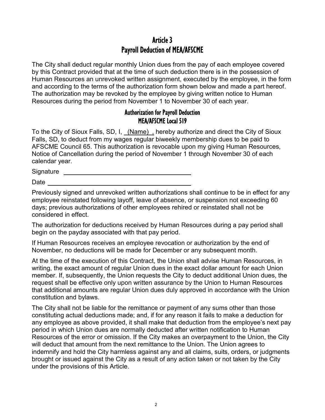## Article 3 Payroll Deduction of MEA/AFSCME

The City shall deduct regular monthly Union dues from the pay of each employee covered by this Contract provided that at the time of such deduction there is in the possession of Human Resources an unrevoked written assignment, executed by the employee, in the form and according to the terms of the authorization form shown below and made a part hereof. The authorization may be revoked by the employee by giving written notice to Human Resources during the period from November 1 to November 30 of each year.

### Authorization for Payroll Deduction MEA/AFSCME Local 519

To the City of Sioux Falls, SD, I, (Name), hereby authorize and direct the City of Sioux Falls, SD, to deduct from my wages regular biweekly membership dues to be paid to AFSCME Council 65. This authorization is revocable upon my giving Human Resources, Notice of Cancellation during the period of November 1 through November 30 of each calendar year.

Signature **Signature Signature** 

**Date** 

Previously signed and unrevoked written authorizations shall continue to be in effect for any employee reinstated following layoff, leave of absence, or suspension not exceeding 60 days; previous authorizations of other employees rehired or reinstated shall not be considered in effect.

The authorization for deductions received by Human Resources during a pay period shall begin on the payday associated with that pay period.

If Human Resources receives an employee revocation or authorization by the end of November, no deductions will be made for December or any subsequent month.

At the time of the execution of this Contract, the Union shall advise Human Resources, in writing, the exact amount of regular Union dues in the exact dollar amount for each Union member. If, subsequently, the Union requests the City to deduct additional Union dues, the request shall be effective only upon written assurance by the Union to Human Resources that additional amounts are regular Union dues duly approved in accordance with the Union constitution and bylaws.

The City shall not be liable for the remittance or payment of any sums other than those constituting actual deductions made; and, if for any reason it fails to make a deduction for any employee as above provided, it shall make that deduction from the employee's next pay period in which Union dues are normally deducted after written notification to Human Resources of the error or omission. If the City makes an overpayment to the Union, the City will deduct that amount from the next remittance to the Union. The Union agrees to indemnify and hold the City harmless against any and all claims, suits, orders, or judgments brought or issued against the City as a result of any action taken or not taken by the City under the provisions of this Article.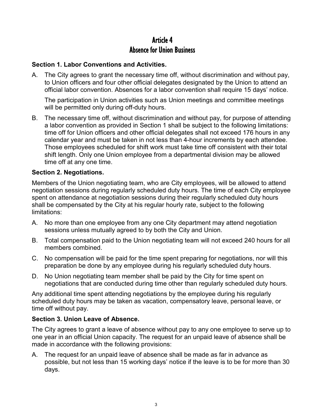## Article 4 Absence for Union Business

### **Section 1. Labor Conventions and Activities.**

A. The City agrees to grant the necessary time off, without discrimination and without pay, to Union officers and four other official delegates designated by the Union to attend an official labor convention. Absences for a labor convention shall require 15 days' notice.

The participation in Union activities such as Union meetings and committee meetings will be permitted only during off-duty hours.

B. The necessary time off, without discrimination and without pay, for purpose of attending a labor convention as provided in Section 1 shall be subject to the following limitations: time off for Union officers and other official delegates shall not exceed 176 hours in any calendar year and must be taken in not less than 4-hour increments by each attendee. Those employees scheduled for shift work must take time off consistent with their total shift length. Only one Union employee from a departmental division may be allowed time off at any one time.

#### **Section 2. Negotiations.**

Members of the Union negotiating team, who are City employees, will be allowed to attend negotiation sessions during regularly scheduled duty hours. The time of each City employee spent on attendance at negotiation sessions during their regularly scheduled duty hours shall be compensated by the City at his regular hourly rate, subject to the following limitations:

- A. No more than one employee from any one City department may attend negotiation sessions unless mutually agreed to by both the City and Union.
- B. Total compensation paid to the Union negotiating team will not exceed 240 hours for all members combined.
- C. No compensation will be paid for the time spent preparing for negotiations, nor will this preparation be done by any employee during his regularly scheduled duty hours.
- D. No Union negotiating team member shall be paid by the City for time spent on negotiations that are conducted during time other than regularly scheduled duty hours.

Any additional time spent attending negotiations by the employee during his regularly scheduled duty hours may be taken as vacation, compensatory leave, personal leave, or time off without pay.

### **Section 3. Union Leave of Absence.**

The City agrees to grant a leave of absence without pay to any one employee to serve up to one year in an official Union capacity. The request for an unpaid leave of absence shall be made in accordance with the following provisions:

A. The request for an unpaid leave of absence shall be made as far in advance as possible, but not less than 15 working days' notice if the leave is to be for more than 30 days.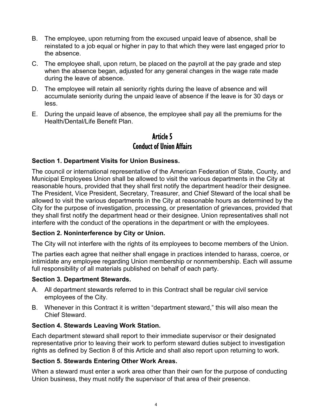- B. The employee, upon returning from the excused unpaid leave of absence, shall be reinstated to a job equal or higher in pay to that which they were last engaged prior to the absence.
- C. The employee shall, upon return, be placed on the payroll at the pay grade and step when the absence began, adjusted for any general changes in the wage rate made during the leave of absence.
- D. The employee will retain all seniority rights during the leave of absence and will accumulate seniority during the unpaid leave of absence if the leave is for 30 days or less.
- E. During the unpaid leave of absence, the employee shall pay all the premiums for the Health/Dental/Life Benefit Plan.

## Article 5 Conduct of Union Affairs

### **Section 1. Department Visits for Union Business.**

The council or international representative of the American Federation of State, County, and Municipal Employees Union shall be allowed to visit the various departments in the City at reasonable hours, provided that they shall first notify the department head/or their designee. The President, Vice President, Secretary, Treasurer, and Chief Steward of the local shall be allowed to visit the various departments in the City at reasonable hours as determined by the City for the purpose of investigation, processing, or presentation of grievances, provided that they shall first notify the department head or their designee. Union representatives shall not interfere with the conduct of the operations in the department or with the employees.

### **Section 2. Noninterference by City or Union.**

The City will not interfere with the rights of its employees to become members of the Union.

The parties each agree that neither shall engage in practices intended to harass, coerce, or intimidate any employee regarding Union membership or nonmembership. Each will assume full responsibility of all materials published on behalf of each party.

#### **Section 3. Department Stewards.**

- A. All department stewards referred to in this Contract shall be regular civil service employees of the City.
- B. Whenever in this Contract it is written "department steward," this will also mean the Chief Steward.

### **Section 4. Stewards Leaving Work Station.**

Each department steward shall report to their immediate supervisor or their designated representative prior to leaving their work to perform steward duties subject to investigation rights as defined by Section 8 of this Article and shall also report upon returning to work.

### **Section 5. Stewards Entering Other Work Areas.**

When a steward must enter a work area other than their own for the purpose of conducting Union business, they must notify the supervisor of that area of their presence.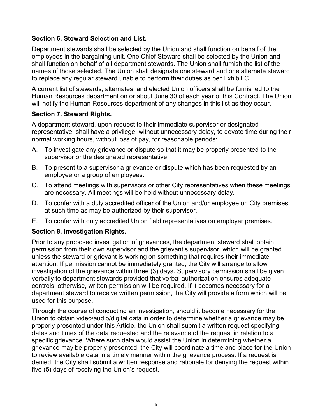### **Section 6. Steward Selection and List.**

Department stewards shall be selected by the Union and shall function on behalf of the employees in the bargaining unit. One Chief Steward shall be selected by the Union and shall function on behalf of all department stewards. The Union shall furnish the list of the names of those selected. The Union shall designate one steward and one alternate steward to replace any regular steward unable to perform their duties as per Exhibit C.

A current list of stewards, alternates, and elected Union officers shall be furnished to the Human Resources department on or about June 30 of each year of this Contract. The Union will notify the Human Resources department of any changes in this list as they occur.

#### **Section 7. Steward Rights.**

A department steward, upon request to their immediate supervisor or designated representative, shall have a privilege, without unnecessary delay, to devote time during their normal working hours, without loss of pay, for reasonable periods:

- A. To investigate any grievance or dispute so that it may be properly presented to the supervisor or the designated representative.
- B. To present to a supervisor a grievance or dispute which has been requested by an employee or a group of employees.
- C. To attend meetings with supervisors or other City representatives when these meetings are necessary. All meetings will be held without unnecessary delay.
- D. To confer with a duly accredited officer of the Union and/or employee on City premises at such time as may be authorized by their supervisor.
- E. To confer with duly accredited Union field representatives on employer premises.

### **Section 8. Investigation Rights.**

Prior to any proposed investigation of grievances, the department steward shall obtain permission from their own supervisor and the grievant's supervisor, which will be granted unless the steward or grievant is working on something that requires their immediate attention. If permission cannot be immediately granted, the City will arrange to allow investigation of the grievance within three (3) days. Supervisory permission shall be given verbally to department stewards provided that verbal authorization ensures adequate controls; otherwise, written permission will be required. If it becomes necessary for a department steward to receive written permission, the City will provide a form which will be used for this purpose.

Through the course of conducting an investigation, should it become necessary for the Union to obtain video/audio/digital data in order to determine whether a grievance may be properly presented under this Article, the Union shall submit a written request specifying dates and times of the data requested and the relevance of the request in relation to a specific grievance. Where such data would assist the Union in determining whether a grievance may be properly presented, the City will coordinate a time and place for the Union to review available data in a timely manner within the grievance process. If a request is denied, the City shall submit a written response and rationale for denying the request within five (5) days of receiving the Union's request.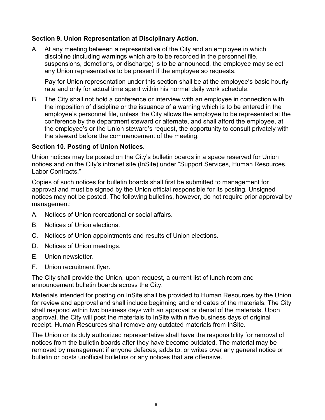#### **Section 9. Union Representation at Disciplinary Action.**

A. At any meeting between a representative of the City and an employee in which discipline (including warnings which are to be recorded in the personnel file, suspensions, demotions, or discharge) is to be announced, the employee may select any Union representative to be present if the employee so requests.

Pay for Union representation under this section shall be at the employee's basic hourly rate and only for actual time spent within his normal daily work schedule.

B. The City shall not hold a conference or interview with an employee in connection with the imposition of discipline or the issuance of a warning which is to be entered in the employee's personnel file, unless the City allows the employee to be represented at the conference by the department steward or alternate, and shall afford the employee, at the employee's or the Union steward's request, the opportunity to consult privately with the steward before the commencement of the meeting.

#### **Section 10. Posting of Union Notices.**

Union notices may be posted on the City's bulletin boards in a space reserved for Union notices and on the City's intranet site (InSite) under "Support Services, Human Resources, Labor Contracts."

Copies of such notices for bulletin boards shall first be submitted to management for approval and must be signed by the Union official responsible for its posting. Unsigned notices may not be posted. The following bulletins, however, do not require prior approval by management:

- A. Notices of Union recreational or social affairs.
- B. Notices of Union elections.
- C. Notices of Union appointments and results of Union elections.
- D. Notices of Union meetings.
- E. Union newsletter.
- F. Union recruitment flyer.

The City shall provide the Union, upon request, a current list of lunch room and announcement bulletin boards across the City.

Materials intended for posting on InSite shall be provided to Human Resources by the Union for review and approval and shall include beginning and end dates of the materials. The City shall respond within two business days with an approval or denial of the materials. Upon approval, the City will post the materials to InSite within five business days of original receipt. Human Resources shall remove any outdated materials from InSite.

The Union or its duly authorized representative shall have the responsibility for removal of notices from the bulletin boards after they have become outdated. The material may be removed by management if anyone defaces, adds to, or writes over any general notice or bulletin or posts unofficial bulletins or any notices that are offensive.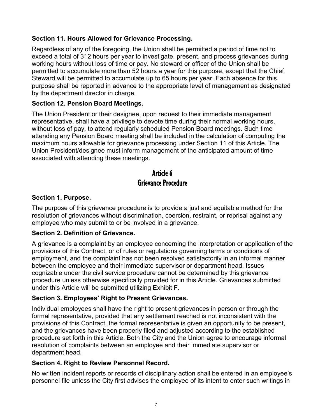### **Section 11. Hours Allowed for Grievance Processing.**

Regardless of any of the foregoing, the Union shall be permitted a period of time not to exceed a total of 312 hours per year to investigate, present, and process grievances during working hours without loss of time or pay. No steward or officer of the Union shall be permitted to accumulate more than 52 hours a year for this purpose, except that the Chief Steward will be permitted to accumulate up to 65 hours per year. Each absence for this purpose shall be reported in advance to the appropriate level of management as designated by the department director in charge.

### **Section 12. Pension Board Meetings.**

The Union President or their designee, upon request to their immediate management representative, shall have a privilege to devote time during their normal working hours, without loss of pay, to attend regularly scheduled Pension Board meetings. Such time attending any Pension Board meeting shall be included in the calculation of computing the maximum hours allowable for grievance processing under Section 11 of this Article. The Union President/designee must inform management of the anticipated amount of time associated with attending these meetings.

## Article 6 Grievance Procedure

### **Section 1. Purpose.**

The purpose of this grievance procedure is to provide a just and equitable method for the resolution of grievances without discrimination, coercion, restraint, or reprisal against any employee who may submit to or be involved in a grievance.

### **Section 2. Definition of Grievance.**

A grievance is a complaint by an employee concerning the interpretation or application of the provisions of this Contract, or of rules or regulations governing terms or conditions of employment, and the complaint has not been resolved satisfactorily in an informal manner between the employee and their immediate supervisor or department head. Issues cognizable under the civil service procedure cannot be determined by this grievance procedure unless otherwise specifically provided for in this Article. Grievances submitted under this Article will be submitted utilizing Exhibit F.

### **Section 3. Employees' Right to Present Grievances.**

Individual employees shall have the right to present grievances in person or through the formal representative, provided that any settlement reached is not inconsistent with the provisions of this Contract, the formal representative is given an opportunity to be present, and the grievances have been properly filed and adjusted according to the established procedure set forth in this Article. Both the City and the Union agree to encourage informal resolution of complaints between an employee and their immediate supervisor or department head.

#### **Section 4. Right to Review Personnel Record.**

No written incident reports or records of disciplinary action shall be entered in an employee's personnel file unless the City first advises the employee of its intent to enter such writings in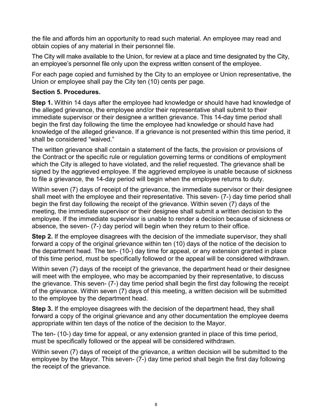the file and affords him an opportunity to read such material. An employee may read and obtain copies of any material in their personnel file.

The City will make available to the Union, for review at a place and time designated by the City, an employee's personnel file only upon the express written consent of the employee.

For each page copied and furnished by the City to an employee or Union representative, the Union or employee shall pay the City ten (10) cents per page.

### **Section 5. Procedures.**

**Step 1.** Within 14 days after the employee had knowledge or should have had knowledge of the alleged grievance, the employee and/or their representative shall submit to their immediate supervisor or their designee a written grievance. This 14-day time period shall begin the first day following the time the employee had knowledge or should have had knowledge of the alleged grievance. If a grievance is not presented within this time period, it shall be considered "waived."

The written grievance shall contain a statement of the facts, the provision or provisions of the Contract or the specific rule or regulation governing terms or conditions of employment which the City is alleged to have violated, and the relief requested. The grievance shall be signed by the aggrieved employee. If the aggrieved employee is unable because of sickness to file a grievance, the 14-day period will begin when the employee returns to duty.

Within seven (7) days of receipt of the grievance, the immediate supervisor or their designee shall meet with the employee and their representative. This seven- (7-) day time period shall begin the first day following the receipt of the grievance. Within seven (7) days of the meeting, the immediate supervisor or their designee shall submit a written decision to the employee. If the immediate supervisor is unable to render a decision because of sickness or absence, the seven- (7-) day period will begin when they return to their office.

**Step 2.** If the employee disagrees with the decision of the immediate supervisor, they shall forward a copy of the original grievance within ten (10) days of the notice of the decision to the department head. The ten- (10-) day time for appeal, or any extension granted in place of this time period, must be specifically followed or the appeal will be considered withdrawn.

Within seven (7) days of the receipt of the grievance, the department head or their designee will meet with the employee, who may be accompanied by their representative, to discuss the grievance. This seven- (7-) day time period shall begin the first day following the receipt of the grievance. Within seven (7) days of this meeting, a written decision will be submitted to the employee by the department head.

**Step 3.** If the employee disagrees with the decision of the department head, they shall forward a copy of the original grievance and any other documentation the employee deems appropriate within ten days of the notice of the decision to the Mayor.

The ten- (10-) day time for appeal, or any extension granted in place of this time period, must be specifically followed or the appeal will be considered withdrawn.

Within seven (7) days of receipt of the grievance, a written decision will be submitted to the employee by the Mayor. This seven- (7-) day time period shall begin the first day following the receipt of the grievance.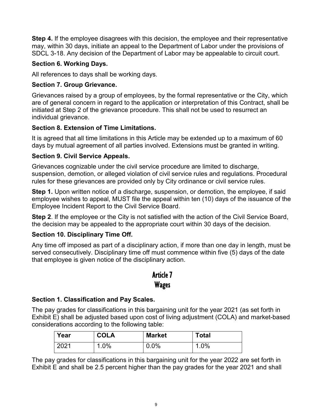**Step 4.** If the employee disagrees with this decision, the employee and their representative may, within 30 days, initiate an appeal to the Department of Labor under the provisions of SDCL 3-18. Any decision of the Department of Labor may be appealable to circuit court.

### **Section 6. Working Days.**

All references to days shall be working days.

### **Section 7. Group Grievance.**

Grievances raised by a group of employees, by the formal representative or the City, which are of general concern in regard to the application or interpretation of this Contract, shall be initiated at Step 2 of the grievance procedure. This shall not be used to resurrect an individual grievance.

### **Section 8. Extension of Time Limitations.**

It is agreed that all time limitations in this Article may be extended up to a maximum of 60 days by mutual agreement of all parties involved. Extensions must be granted in writing.

### **Section 9. Civil Service Appeals.**

Grievances cognizable under the civil service procedure are limited to discharge, suspension, demotion, or alleged violation of civil service rules and regulations. Procedural rules for these grievances are provided only by City ordinance or civil service rules.

**Step 1.** Upon written notice of a discharge, suspension, or demotion, the employee, if said employee wishes to appeal, MUST file the appeal within ten (10) days of the issuance of the Employee Incident Report to the Civil Service Board.

**Step 2**. If the employee or the City is not satisfied with the action of the Civil Service Board, the decision may be appealed to the appropriate court within 30 days of the decision.

## **Section 10. Disciplinary Time Off.**

Any time off imposed as part of a disciplinary action, if more than one day in length, must be served consecutively. Disciplinary time off must commence within five (5) days of the date that employee is given notice of the disciplinary action.

## Article 7 Wages

## **Section 1. Classification and Pay Scales.**

The pay grades for classifications in this bargaining unit for the year 2021 (as set forth in Exhibit E) shall be adjusted based upon cost of living adjustment (COLA) and market-based considerations according to the following table:

| Year | <b>COLA</b>                     | <b>Market</b> | <b>Total</b> |
|------|---------------------------------|---------------|--------------|
| 2021 | .0%،<br>$\overline{\mathbf{A}}$ | 0.0%          | 1.0%         |

The pay grades for classifications in this bargaining unit for the year 2022 are set forth in Exhibit E and shall be 2.5 percent higher than the pay grades for the year 2021 and shall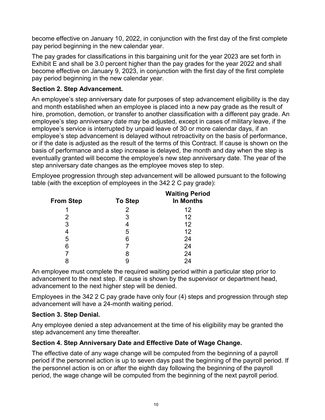become effective on January 10, 2022, in conjunction with the first day of the first complete pay period beginning in the new calendar year.

The pay grades for classifications in this bargaining unit for the year 2023 are set forth in Exhibit E and shall be 3.0 percent higher than the pay grades for the year 2022 and shall become effective on January 9, 2023, in conjunction with the first day of the first complete pay period beginning in the new calendar year.

#### **Section 2. Step Advancement.**

An employee's step anniversary date for purposes of step advancement eligibility is the day and month established when an employee is placed into a new pay grade as the result of hire, promotion, demotion, or transfer to another classification with a different pay grade. An employee's step anniversary date may be adjusted, except in cases of military leave, if the employee's service is interrupted by unpaid leave of 30 or more calendar days, if an employee's step advancement is delayed without retroactivity on the basis of performance, or if the date is adjusted as the result of the terms of this Contract. If cause is shown on the basis of performance and a step increase is delayed, the month and day when the step is eventually granted will become the employee's new step anniversary date. The year of the step anniversary date changes as the employee moves step to step.

Employee progression through step advancement will be allowed pursuant to the following table (with the exception of employees in the 342 2 C pay grade):

| <b>From Step</b> | <b>To Step</b> | <b>Waiting Period</b><br><b>In Months</b> |
|------------------|----------------|-------------------------------------------|
| 1                | 2              | 12                                        |
| 2                | 3              | 12                                        |
| 3                | 4              | 12                                        |
| 4                | 5              | 12                                        |
| 5                | 6              | 24                                        |
| 6                |                | 24                                        |
|                  | 8              | 24                                        |
| 8                | 9              | 24                                        |

An employee must complete the required waiting period within a particular step prior to advancement to the next step. If cause is shown by the supervisor or department head, advancement to the next higher step will be denied.

Employees in the 342 2 C pay grade have only four (4) steps and progression through step advancement will have a 24-month waiting period.

### **Section 3. Step Denial.**

Any employee denied a step advancement at the time of his eligibility may be granted the step advancement any time thereafter.

### **Section 4. Step Anniversary Date and Effective Date of Wage Change.**

The effective date of any wage change will be computed from the beginning of a payroll period if the personnel action is up to seven days past the beginning of the payroll period. If the personnel action is on or after the eighth day following the beginning of the payroll period, the wage change will be computed from the beginning of the next payroll period.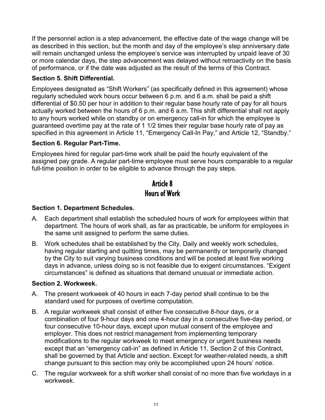If the personnel action is a step advancement, the effective date of the wage change will be as described in this section, but the month and day of the employee's step anniversary date will remain unchanged unless the employee's service was interrupted by unpaid leave of 30 or more calendar days, the step advancement was delayed without retroactivity on the basis of performance, or if the date was adjusted as the result of the terms of this Contract.

### **Section 5. Shift Differential.**

Employees designated as "Shift Workers" (as specifically defined in this agreement) whose regularly scheduled work hours occur between 6 p.m. and 6 a.m. shall be paid a shift differential of \$0.50 per hour in addition to their regular base hourly rate of pay for all hours actually worked between the hours of 6 p.m. and 6 a.m. This shift differential shall not apply to any hours worked while on standby or on emergency call-in for which the employee is guaranteed overtime pay at the rate of 1 1/2 times their regular base hourly rate of pay as specified in this agreement in Article 11, "Emergency Call-In Pay," and Article 12, "Standby."

### **Section 6. Regular Part-Time.**

Employees hired for regular part-time work shall be paid the hourly equivalent of the assigned pay grade. A regular part-time employee must serve hours comparable to a regular full-time position in order to be eligible to advance through the pay steps.

## Article 8 Hours of Work

### **Section 1. Department Schedules.**

- A. Each department shall establish the scheduled hours of work for employees within that department. The hours of work shall, as far as practicable, be uniform for employees in the same unit assigned to perform the same duties.
- B. Work schedules shall be established by the City. Daily and weekly work schedules, having regular starting and quitting times, may be permanently or temporarily changed by the City to suit varying business conditions and will be posted at least five working days in advance, unless doing so is not feasible due to exigent circumstances. "Exigent circumstances" is defined as situations that demand unusual or immediate action.

### **Section 2. Workweek.**

- A. The present workweek of 40 hours in each 7-day period shall continue to be the standard used for purposes of overtime computation.
- B. A regular workweek shall consist of either five consecutive 8-hour days, or a combination of four 9-hour days and one 4-hour day in a consecutive five-day period, or four consecutive 10-hour days, except upon mutual consent of the employee and employer. This does not restrict management from implementing temporary modifications to the regular workweek to meet emergency or urgent business needs except that an "emergency call-in" as defined in Article 11, Section 2 of this Contract, shall be governed by that Article and section. Except for weather-related needs, a shift change pursuant to this section may only be accomplished upon 24 hours' notice.
- C. The regular workweek for a shift worker shall consist of no more than five workdays in a workweek.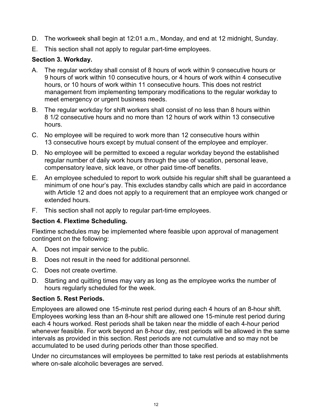- D. The workweek shall begin at 12:01 a.m., Monday, and end at 12 midnight, Sunday.
- E. This section shall not apply to regular part-time employees.

### **Section 3. Workday.**

- A. The regular workday shall consist of 8 hours of work within 9 consecutive hours or 9 hours of work within 10 consecutive hours, or 4 hours of work within 4 consecutive hours, or 10 hours of work within 11 consecutive hours. This does not restrict management from implementing temporary modifications to the regular workday to meet emergency or urgent business needs.
- B. The regular workday for shift workers shall consist of no less than 8 hours within 8 1/2 consecutive hours and no more than 12 hours of work within 13 consecutive hours.
- C. No employee will be required to work more than 12 consecutive hours within 13 consecutive hours except by mutual consent of the employee and employer.
- D. No employee will be permitted to exceed a regular workday beyond the established regular number of daily work hours through the use of vacation, personal leave, compensatory leave, sick leave, or other paid time-off benefits.
- E. An employee scheduled to report to work outside his regular shift shall be guaranteed a minimum of one hour's pay. This excludes standby calls which are paid in accordance with Article 12 and does not apply to a requirement that an employee work changed or extended hours.
- F. This section shall not apply to regular part-time employees.

### **Section 4. Flextime Scheduling.**

Flextime schedules may be implemented where feasible upon approval of management contingent on the following:

- A. Does not impair service to the public.
- B. Does not result in the need for additional personnel.
- C. Does not create overtime.
- D. Starting and quitting times may vary as long as the employee works the number of hours regularly scheduled for the week.

### **Section 5. Rest Periods.**

Employees are allowed one 15-minute rest period during each 4 hours of an 8-hour shift. Employees working less than an 8-hour shift are allowed one 15-minute rest period during each 4 hours worked. Rest periods shall be taken near the middle of each 4-hour period whenever feasible. For work beyond an 8-hour day, rest periods will be allowed in the same intervals as provided in this section. Rest periods are not cumulative and so may not be accumulated to be used during periods other than those specified.

Under no circumstances will employees be permitted to take rest periods at establishments where on-sale alcoholic beverages are served.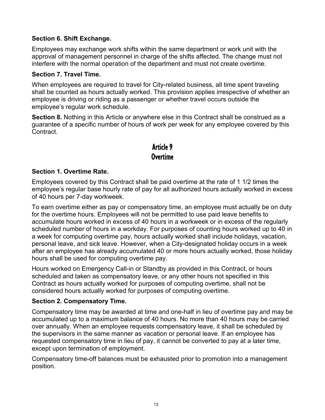### **Section 6. Shift Exchange.**

Employees may exchange work shifts within the same department or work unit with the approval of management personnel in charge of the shifts affected. The change must not interfere with the normal operation of the department and must not create overtime.

### **Section 7. Travel Time.**

When employees are required to travel for City-related business, all time spent traveling shall be counted as hours actually worked. This provision applies irrespective of whether an employee is driving or riding as a passenger or whether travel occurs outside the employee's regular work schedule.

**Section 8.** Nothing in this Article or anywhere else in this Contract shall be construed as a guarantee of a specific number of hours of work per week for any employee covered by this Contract.

## Article 9 Overtime

#### **Section 1. Overtime Rate.**

Employees covered by this Contract shall be paid overtime at the rate of 1 1/2 times the employee's regular base hourly rate of pay for all authorized hours actually worked in excess of 40 hours per 7-day workweek.

To earn overtime either as pay or compensatory time, an employee must actually be on duty for the overtime hours. Employees will not be permitted to use paid leave benefits to accumulate hours worked in excess of 40 hours in a workweek or in excess of the regularly scheduled number of hours in a workday. For purposes of counting hours worked up to 40 in a week for computing overtime pay, hours actually worked shall include holidays, vacation, personal leave, and sick leave. However, when a City-designated holiday occurs in a week after an employee has already accumulated 40 or more hours actually worked, those holiday hours shall be used for computing overtime pay.

Hours worked on Emergency Call-in or Standby as provided in this Contract, or hours scheduled and taken as compensatory leave, or any other hours not specified in this Contract as hours actually worked for purposes of computing overtime, shall not be considered hours actually worked for purposes of computing overtime.

#### **Section 2. Compensatory Time.**

Compensatory time may be awarded at time and one-half in lieu of overtime pay and may be accumulated up to a maximum balance of 40 hours. No more than 40 hours may be carried over annually. When an employee requests compensatory leave, it shall be scheduled by the supervisors in the same manner as vacation or personal leave. If an employee has requested compensatory time in lieu of pay, it cannot be converted to pay at a later time, except upon termination of employment.

Compensatory time-off balances must be exhausted prior to promotion into a management position.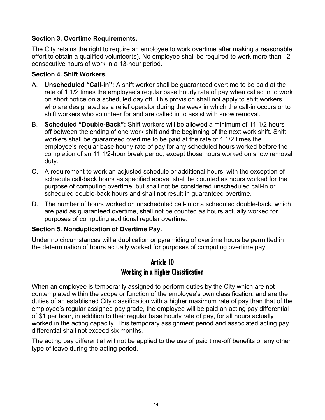#### **Section 3. Overtime Requirements.**

The City retains the right to require an employee to work overtime after making a reasonable effort to obtain a qualified volunteer(s). No employee shall be required to work more than 12 consecutive hours of work in a 13-hour period.

#### **Section 4. Shift Workers.**

- A. **Unscheduled "Call-in":** A shift worker shall be guaranteed overtime to be paid at the rate of 1 1/2 times the employee's regular base hourly rate of pay when called in to work on short notice on a scheduled day off. This provision shall not apply to shift workers who are designated as a relief operator during the week in which the call-in occurs or to shift workers who volunteer for and are called in to assist with snow removal.
- B. **Scheduled "Double-Back":** Shift workers will be allowed a minimum of 11 1/2 hours off between the ending of one work shift and the beginning of the next work shift. Shift workers shall be guaranteed overtime to be paid at the rate of 1 1/2 times the employee's regular base hourly rate of pay for any scheduled hours worked before the completion of an 11 1/2-hour break period, except those hours worked on snow removal duty.
- C. A requirement to work an adjusted schedule or additional hours, with the exception of schedule call-back hours as specified above, shall be counted as hours worked for the purpose of computing overtime, but shall not be considered unscheduled call-in or scheduled double-back hours and shall not result in guaranteed overtime.
- D. The number of hours worked on unscheduled call-in or a scheduled double-back, which are paid as guaranteed overtime, shall not be counted as hours actually worked for purposes of computing additional regular overtime.

### **Section 5. Nonduplication of Overtime Pay.**

Under no circumstances will a duplication or pyramiding of overtime hours be permitted in the determination of hours actually worked for purposes of computing overtime pay.

## Article 10 Working in a Higher Classification

When an employee is temporarily assigned to perform duties by the City which are not contemplated within the scope or function of the employee's own classification, and are the duties of an established City classification with a higher maximum rate of pay than that of the employee's regular assigned pay grade, the employee will be paid an acting pay differential of \$1 per hour, in addition to their regular base hourly rate of pay, for all hours actually worked in the acting capacity. This temporary assignment period and associated acting pay differential shall not exceed six months.

The acting pay differential will not be applied to the use of paid time-off benefits or any other type of leave during the acting period.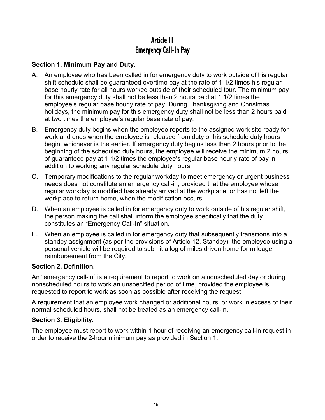## Article 11 Emergency Call-In Pay

### **Section 1. Minimum Pay and Duty.**

- A. An employee who has been called in for emergency duty to work outside of his regular shift schedule shall be guaranteed overtime pay at the rate of 1 1/2 times his regular base hourly rate for all hours worked outside of their scheduled tour. The minimum pay for this emergency duty shall not be less than 2 hours paid at 1 1/2 times the employee's regular base hourly rate of pay. During Thanksgiving and Christmas holidays, the minimum pay for this emergency duty shall not be less than 2 hours paid at two times the employee's regular base rate of pay.
- B. Emergency duty begins when the employee reports to the assigned work site ready for work and ends when the employee is released from duty or his schedule duty hours begin, whichever is the earlier. If emergency duty begins less than 2 hours prior to the beginning of the scheduled duty hours, the employee will receive the minimum 2 hours of guaranteed pay at 1 1/2 times the employee's regular base hourly rate of pay in addition to working any regular schedule duty hours.
- C. Temporary modifications to the regular workday to meet emergency or urgent business needs does not constitute an emergency call-in, provided that the employee whose regular workday is modified has already arrived at the workplace, or has not left the workplace to return home, when the modification occurs.
- D. When an employee is called in for emergency duty to work outside of his regular shift, the person making the call shall inform the employee specifically that the duty constitutes an "Emergency Call-In" situation.
- E. When an employee is called in for emergency duty that subsequently transitions into a standby assignment (as per the provisions of Article 12, Standby), the employee using a personal vehicle will be required to submit a log of miles driven home for mileage reimbursement from the City.

### **Section 2. Definition.**

An "emergency call-in" is a requirement to report to work on a nonscheduled day or during nonscheduled hours to work an unspecified period of time, provided the employee is requested to report to work as soon as possible after receiving the request.

A requirement that an employee work changed or additional hours, or work in excess of their normal scheduled hours, shall not be treated as an emergency call-in.

#### **Section 3. Eligibility.**

The employee must report to work within 1 hour of receiving an emergency call-in request in order to receive the 2-hour minimum pay as provided in Section 1.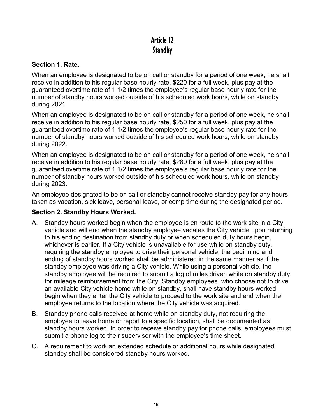## Article 12 **Standby**

#### **Section 1. Rate.**

When an employee is designated to be on call or standby for a period of one week, he shall receive in addition to his regular base hourly rate, \$220 for a full week, plus pay at the guaranteed overtime rate of 1 1/2 times the employee's regular base hourly rate for the number of standby hours worked outside of his scheduled work hours, while on standby during 2021.

When an employee is designated to be on call or standby for a period of one week, he shall receive in addition to his regular base hourly rate, \$250 for a full week, plus pay at the guaranteed overtime rate of 1 1/2 times the employee's regular base hourly rate for the number of standby hours worked outside of his scheduled work hours, while on standby during 2022.

When an employee is designated to be on call or standby for a period of one week, he shall receive in addition to his regular base hourly rate, \$280 for a full week, plus pay at the guaranteed overtime rate of 1 1/2 times the employee's regular base hourly rate for the number of standby hours worked outside of his scheduled work hours, while on standby during 2023.

An employee designated to be on call or standby cannot receive standby pay for any hours taken as vacation, sick leave, personal leave, or comp time during the designated period.

#### **Section 2. Standby Hours Worked.**

- A. Standby hours worked begin when the employee is en route to the work site in a City vehicle and will end when the standby employee vacates the City vehicle upon returning to his ending destination from standby duty or when scheduled duty hours begin, whichever is earlier. If a City vehicle is unavailable for use while on standby duty, requiring the standby employee to drive their personal vehicle, the beginning and ending of standby hours worked shall be administered in the same manner as if the standby employee was driving a City vehicle. While using a personal vehicle, the standby employee will be required to submit a log of miles driven while on standby duty for mileage reimbursement from the City. Standby employees, who choose not to drive an available City vehicle home while on standby, shall have standby hours worked begin when they enter the City vehicle to proceed to the work site and end when the employee returns to the location where the City vehicle was acquired.
- B. Standby phone calls received at home while on standby duty, not requiring the employee to leave home or report to a specific location, shall be documented as standby hours worked. In order to receive standby pay for phone calls, employees must submit a phone log to their supervisor with the employee's time sheet.
- C. A requirement to work an extended schedule or additional hours while designated standby shall be considered standby hours worked.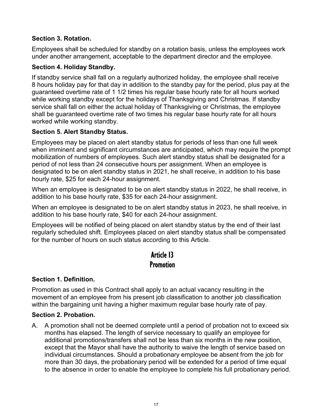### **Section 3. Rotation.**

Employees shall be scheduled for standby on a rotation basis, unless the employees work under another arrangement, acceptable to the department director and the employee.

### **Section 4. Holiday Standby.**

If standby service shall fall on a regularly authorized holiday, the employee shall receive 8 hours holiday pay for that day in addition to the standby pay for the period, plus pay at the guaranteed overtime rate of 1 1/2 times his regular base hourly rate for all hours worked while working standby except for the holidays of Thanksgiving and Christmas. If standby service shall fall on either the actual holiday of Thanksgiving or Christmas, the employee shall be guaranteed overtime rate of two times his regular base hourly rate for all hours worked while working standby.

### **Section 5. Alert Standby Status.**

Employees may be placed on alert standby status for periods of less than one full week when imminent and significant circumstances are anticipated, which may require the prompt mobilization of numbers of employees. Such alert standby status shall be designated for a period of not less than 24 consecutive hours per assignment. When an employee is designated to be on alert standby status in 2021, he shall receive, in addition to his base hourly rate, \$25 for each 24-hour assignment.

When an employee is designated to be on alert standby status in 2022, he shall receive, in addition to his base hourly rate, \$35 for each 24-hour assignment.

When an employee is designated to be on alert standby status in 2023, he shall receive, in addition to his base hourly rate, \$40 for each 24-hour assignment.

Employees will be notified of being placed on alert standby status by the end of their last regularly scheduled shift. Employees placed on alert standby status shall be compensated for the number of hours on such status according to this Article.

## Article 13 **Promotion**

### **Section 1. Definition.**

Promotion as used in this Contract shall apply to an actual vacancy resulting in the movement of an employee from his present job classification to another job classification within the bargaining unit having a higher maximum regular base hourly rate of pay.

### **Section 2. Probation.**

A. A promotion shall not be deemed complete until a period of probation not to exceed six months has elapsed. The length of service necessary to qualify an employee for additional promotions/transfers shall not be less than six months in the new position, except that the Mayor shall have the authority to waive the length of service based on individual circumstances. Should a probationary employee be absent from the job for more than 30 days, the probationary period will be extended for a period of time equal to the absence in order to enable the employee to complete his full probationary period.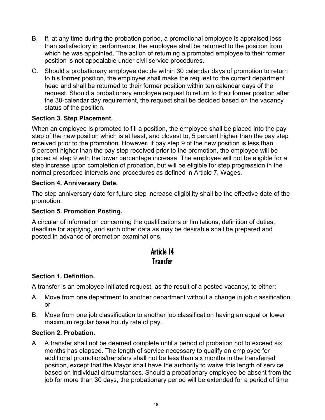- B. If, at any time during the probation period, a promotional employee is appraised less than satisfactory in performance, the employee shall be returned to the position from which he was appointed. The action of returning a promoted employee to their former position is not appealable under civil service procedures.
- C. Should a probationary employee decide within 30 calendar days of promotion to return to his former position, the employee shall make the request to the current department head and shall be returned to their former position within ten calendar days of the request. Should a probationary employee request to return to their former position after the 30-calendar day requirement, the request shall be decided based on the vacancy status of the position.

### **Section 3. Step Placement.**

When an employee is promoted to fill a position, the employee shall be placed into the pay step of the new position which is at least, and closest to, 5 percent higher than the pay step received prior to the promotion. However, if pay step 9 of the new position is less than 5 percent higher than the pay step received prior to the promotion, the employee will be placed at step 9 with the lower percentage increase. The employee will not be eligible for a step increase upon completion of probation, but will be eligible for step progression in the normal prescribed intervals and procedures as defined in Article 7, Wages.

#### **Section 4. Anniversary Date.**

The step anniversary date for future step increase eligibility shall be the effective date of the promotion.

#### **Section 5. Promotion Posting.**

A circular of information concerning the qualifications or limitations, definition of duties, deadline for applying, and such other data as may be desirable shall be prepared and posted in advance of promotion examinations.

## Article 14 **Transfer**

### **Section 1. Definition.**

A transfer is an employee-initiated request, as the result of a posted vacancy, to either:

- A. Move from one department to another department without a change in job classification; or
- B. Move from one job classification to another job classification having an equal or lower maximum regular base hourly rate of pay.

#### **Section 2. Probation.**

A. A transfer shall not be deemed complete until a period of probation not to exceed six months has elapsed. The length of service necessary to qualify an employee for additional promotions/transfers shall not be less than six months in the transferred position, except that the Mayor shall have the authority to waive this length of service based on individual circumstances. Should a probationary employee be absent from the job for more than 30 days, the probationary period will be extended for a period of time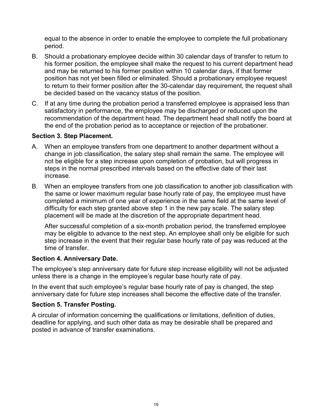equal to the absence in order to enable the employee to complete the full probationary period.

- B. Should a probationary employee decide within 30 calendar days of transfer to return to his former position, the employee shall make the request to his current department head and may be returned to his former position within 10 calendar days, if that former position has not yet been filled or eliminated. Should a probationary employee request to return to their former position after the 30-calendar day requirement, the request shall be decided based on the vacancy status of the position.
- C. If at any time during the probation period a transferred employee is appraised less than satisfactory in performance, the employee may be discharged or reduced upon the recommendation of the department head. The department head shall notify the board at the end of the probation period as to acceptance or rejection of the probationer.

#### **Section 3. Step Placement.**

- A. When an employee transfers from one department to another department without a change in job classification, the salary step shall remain the same. The employee will not be eligible for a step increase upon completion of probation, but will progress in steps in the normal prescribed intervals based on the effective date of their last increase.
- B. When an employee transfers from one job classification to another job classification with the same or lower maximum regular base hourly rate of pay, the employee must have completed a minimum of one year of experience in the same field at the same level of difficulty for each step granted above step 1 in the new pay scale. The salary step placement will be made at the discretion of the appropriate department head.

After successful completion of a six-month probation period, the transferred employee may be eligible to advance to the next step. An employee shall only be eligible for such step increase in the event that their regular base hourly rate of pay was reduced at the time of transfer.

#### **Section 4. Anniversary Date.**

The employee's step anniversary date for future step increase eligibility will not be adjusted unless there is a change in the employee's regular base hourly rate of pay.

In the event that such employee's regular base hourly rate of pay is changed, the step anniversary date for future step increases shall become the effective date of the transfer.

#### **Section 5. Transfer Posting.**

A circular of information concerning the qualifications or limitations, definition of duties, deadline for applying, and such other data as may be desirable shall be prepared and posted in advance of transfer examinations.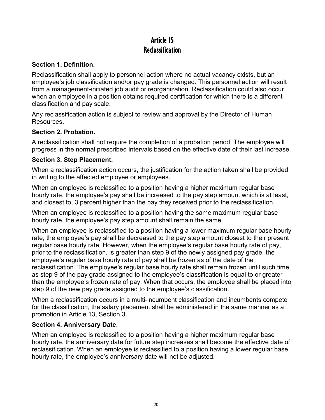## Article 15 **Reclassification**

### **Section 1. Definition.**

Reclassification shall apply to personnel action where no actual vacancy exists, but an employee's job classification and/or pay grade is changed. This personnel action will result from a management-initiated job audit or reorganization. Reclassification could also occur when an employee in a position obtains required certification for which there is a different classification and pay scale.

Any reclassification action is subject to review and approval by the Director of Human Resources.

#### **Section 2. Probation.**

A reclassification shall not require the completion of a probation period. The employee will progress in the normal prescribed intervals based on the effective date of their last increase.

#### **Section 3. Step Placement.**

When a reclassification action occurs, the justification for the action taken shall be provided in writing to the affected employee or employees.

When an employee is reclassified to a position having a higher maximum regular base hourly rate, the employee's pay shall be increased to the pay step amount which is at least, and closest to, 3 percent higher than the pay they received prior to the reclassification.

When an employee is reclassified to a position having the same maximum regular base hourly rate, the employee's pay step amount shall remain the same.

When an employee is reclassified to a position having a lower maximum regular base hourly rate, the employee's pay shall be decreased to the pay step amount closest to their present regular base hourly rate. However, when the employee's regular base hourly rate of pay, prior to the reclassification, is greater than step 9 of the newly assigned pay grade, the employee's regular base hourly rate of pay shall be frozen as of the date of the reclassification. The employee's regular base hourly rate shall remain frozen until such time as step 9 of the pay grade assigned to the employee's classification is equal to or greater than the employee's frozen rate of pay. When that occurs, the employee shall be placed into step 9 of the new pay grade assigned to the employee's classification.

When a reclassification occurs in a multi-incumbent classification and incumbents compete for the classification, the salary placement shall be administered in the same manner as a promotion in Article 13, Section 3.

### **Section 4. Anniversary Date.**

When an employee is reclassified to a position having a higher maximum regular base hourly rate, the anniversary date for future step increases shall become the effective date of reclassification. When an employee is reclassified to a position having a lower regular base hourly rate, the employee's anniversary date will not be adjusted.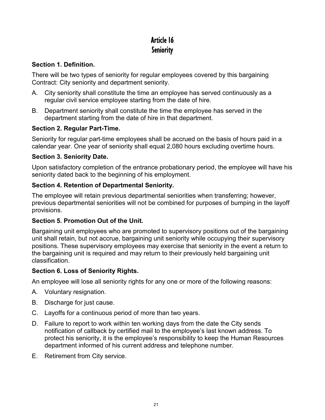# Article 16 **Seniority**

### **Section 1. Definition.**

There will be two types of seniority for regular employees covered by this bargaining Contract: City seniority and department seniority.

- A. City seniority shall constitute the time an employee has served continuously as a regular civil service employee starting from the date of hire.
- B. Department seniority shall constitute the time the employee has served in the department starting from the date of hire in that department.

### **Section 2. Regular Part-Time.**

Seniority for regular part-time employees shall be accrued on the basis of hours paid in a calendar year. One year of seniority shall equal 2,080 hours excluding overtime hours.

### **Section 3. Seniority Date.**

Upon satisfactory completion of the entrance probationary period, the employee will have his seniority dated back to the beginning of his employment.

### **Section 4. Retention of Departmental Seniority.**

The employee will retain previous departmental seniorities when transferring; however, previous departmental seniorities will not be combined for purposes of bumping in the layoff provisions.

### **Section 5. Promotion Out of the Unit.**

Bargaining unit employees who are promoted to supervisory positions out of the bargaining unit shall retain, but not accrue, bargaining unit seniority while occupying their supervisory positions. These supervisory employees may exercise that seniority in the event a return to the bargaining unit is required and may return to their previously held bargaining unit classification.

### **Section 6. Loss of Seniority Rights.**

An employee will lose all seniority rights for any one or more of the following reasons:

- A. Voluntary resignation.
- B. Discharge for just cause.
- C. Layoffs for a continuous period of more than two years.
- D. Failure to report to work within ten working days from the date the City sends notification of callback by certified mail to the employee's last known address. To protect his seniority, it is the employee's responsibility to keep the Human Resources department informed of his current address and telephone number.
- E. Retirement from City service.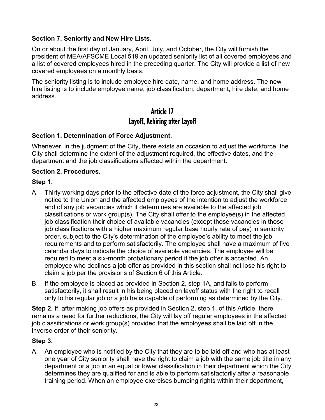### **Section 7. Seniority and New Hire Lists.**

On or about the first day of January, April, July, and October, the City will furnish the president of MEA/AFSCME Local 519 an updated seniority list of all covered employees and a list of covered employees hired in the preceding quarter. The City will provide a list of new covered employees on a monthly basis.

The seniority listing is to include employee hire date, name, and home address. The new hire listing is to include employee name, job classification, department, hire date, and home address.

## Article 17 Layoff, Rehiring after Layoff

### **Section 1. Determination of Force Adjustment.**

Whenever, in the judgment of the City, there exists an occasion to adjust the workforce, the City shall determine the extent of the adjustment required, the effective dates, and the department and the job classifications affected within the department.

#### **Section 2. Procedures.**

#### **Step 1.**

- A. Thirty working days prior to the effective date of the force adjustment, the City shall give notice to the Union and the affected employees of the intention to adjust the workforce and of any job vacancies which it determines are available to the affected job classifications or work group(s). The City shall offer to the employee(s) in the affected job classification their choice of available vacancies (except those vacancies in those job classifications with a higher maximum regular base hourly rate of pay) in seniority order, subject to the City's determination of the employee's ability to meet the job requirements and to perform satisfactorily. The employee shall have a maximum of five calendar days to indicate the choice of available vacancies. The employee will be required to meet a six-month probationary period if the job offer is accepted. An employee who declines a job offer as provided in this section shall not lose his right to claim a job per the provisions of Section 6 of this Article.
- B. If the employee is placed as provided in Section 2, step 1A, and fails to perform satisfactorily, it shall result in his being placed on layoff status with the right to recall only to his regular job or a job he is capable of performing as determined by the City.

**Step 2.** If, after making job offers as provided in Section 2, step 1, of this Article, there remains a need for further reductions, the City will lay off regular employees in the affected job classifications or work group(s) provided that the employees shall be laid off in the inverse order of their seniority.

#### **Step 3.**

A. An employee who is notified by the City that they are to be laid off and who has at least one year of City seniority shall have the right to claim a job with the same job title in any department or a job in an equal or lower classification in their department which the City determines they are qualified for and is able to perform satisfactorily after a reasonable training period. When an employee exercises bumping rights within their department,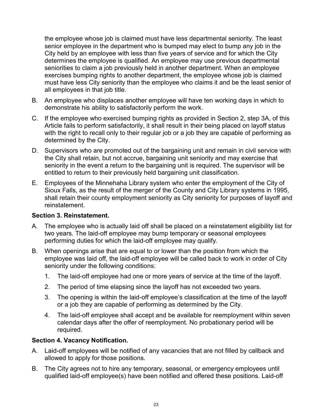the employee whose job is claimed must have less departmental seniority. The least senior employee in the department who is bumped may elect to bump any job in the City held by an employee with less than five years of service and for which the City determines the employee is qualified. An employee may use previous departmental seniorities to claim a job previously held in another department. When an employee exercises bumping rights to another department, the employee whose job is claimed must have less City seniority than the employee who claims it and be the least senior of all employees in that job title.

- B. An employee who displaces another employee will have ten working days in which to demonstrate his ability to satisfactorily perform the work.
- C. If the employee who exercised bumping rights as provided in Section 2, step 3A, of this Article fails to perform satisfactorily, it shall result in their being placed on layoff status with the right to recall only to their regular job or a job they are capable of performing as determined by the City.
- D. Supervisors who are promoted out of the bargaining unit and remain in civil service with the City shall retain, but not accrue, bargaining unit seniority and may exercise that seniority in the event a return to the bargaining unit is required. The supervisor will be entitled to return to their previously held bargaining unit classification.
- E. Employees of the Minnehaha Library system who enter the employment of the City of Sioux Falls, as the result of the merger of the County and City Library systems in 1995, shall retain their county employment seniority as City seniority for purposes of layoff and reinstatement.

#### **Section 3. Reinstatement.**

- A. The employee who is actually laid off shall be placed on a reinstatement eligibility list for two years. The laid-off employee may bump temporary or seasonal employees performing duties for which the laid-off employee may qualify.
- B. When openings arise that are equal to or lower than the position from which the employee was laid off, the laid-off employee will be called back to work in order of City seniority under the following conditions:
	- 1. The laid-off employee had one or more years of service at the time of the layoff.
	- 2. The period of time elapsing since the layoff has not exceeded two years.
	- 3. The opening is within the laid-off employee's classification at the time of the layoff or a job they are capable of performing as determined by the City.
	- 4. The laid-off employee shall accept and be available for reemployment within seven calendar days after the offer of reemployment. No probationary period will be required.

#### **Section 4. Vacancy Notification.**

- A. Laid-off employees will be notified of any vacancies that are not filled by callback and allowed to apply for those positions.
- B. The City agrees not to hire any temporary, seasonal, or emergency employees until qualified laid-off employee(s) have been notified and offered these positions. Laid-off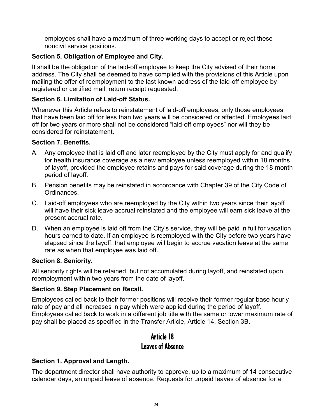employees shall have a maximum of three working days to accept or reject these noncivil service positions.

### **Section 5. Obligation of Employee and City.**

It shall be the obligation of the laid-off employee to keep the City advised of their home address. The City shall be deemed to have complied with the provisions of this Article upon mailing the offer of reemployment to the last known address of the laid-off employee by registered or certified mail, return receipt requested.

### **Section 6. Limitation of Laid-off Status.**

Whenever this Article refers to reinstatement of laid-off employees, only those employees that have been laid off for less than two years will be considered or affected. Employees laid off for two years or more shall not be considered "laid-off employees" nor will they be considered for reinstatement.

#### **Section 7. Benefits.**

- A. Any employee that is laid off and later reemployed by the City must apply for and qualify for health insurance coverage as a new employee unless reemployed within 18 months of layoff, provided the employee retains and pays for said coverage during the 18-month period of layoff.
- B. Pension benefits may be reinstated in accordance with Chapter 39 of the City Code of Ordinances.
- C. Laid-off employees who are reemployed by the City within two years since their layoff will have their sick leave accrual reinstated and the employee will earn sick leave at the present accrual rate.
- D. When an employee is laid off from the City's service, they will be paid in full for vacation hours earned to date. If an employee is reemployed with the City before two years have elapsed since the layoff, that employee will begin to accrue vacation leave at the same rate as when that employee was laid off.

#### **Section 8. Seniority.**

All seniority rights will be retained, but not accumulated during layoff, and reinstated upon reemployment within two years from the date of layoff.

### **Section 9. Step Placement on Recall.**

Employees called back to their former positions will receive their former regular base hourly rate of pay and all increases in pay which were applied during the period of layoff. Employees called back to work in a different job title with the same or lower maximum rate of pay shall be placed as specified in the Transfer Article, Article 14, Section 3B.

## Article 18 Leaves of Absence

### **Section 1. Approval and Length.**

The department director shall have authority to approve, up to a maximum of 14 consecutive calendar days, an unpaid leave of absence. Requests for unpaid leaves of absence for a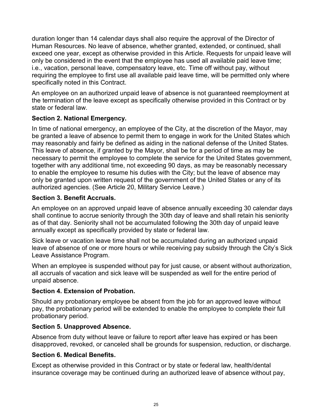duration longer than 14 calendar days shall also require the approval of the Director of Human Resources. No leave of absence, whether granted, extended, or continued, shall exceed one year, except as otherwise provided in this Article. Requests for unpaid leave will only be considered in the event that the employee has used all available paid leave time; i.e., vacation, personal leave, compensatory leave, etc. Time off without pay, without requiring the employee to first use all available paid leave time, will be permitted only where specifically noted in this Contract.

An employee on an authorized unpaid leave of absence is not guaranteed reemployment at the termination of the leave except as specifically otherwise provided in this Contract or by state or federal law.

#### **Section 2. National Emergency.**

In time of national emergency, an employee of the City, at the discretion of the Mayor, may be granted a leave of absence to permit them to engage in work for the United States which may reasonably and fairly be defined as aiding in the national defense of the United States. This leave of absence, if granted by the Mayor, shall be for a period of time as may be necessary to permit the employee to complete the service for the United States government, together with any additional time, not exceeding 90 days, as may be reasonably necessary to enable the employee to resume his duties with the City; but the leave of absence may only be granted upon written request of the government of the United States or any of its authorized agencies. (See Article 20, Military Service Leave.)

#### **Section 3. Benefit Accruals.**

An employee on an approved unpaid leave of absence annually exceeding 30 calendar days shall continue to accrue seniority through the 30th day of leave and shall retain his seniority as of that day. Seniority shall not be accumulated following the 30th day of unpaid leave annually except as specifically provided by state or federal law.

Sick leave or vacation leave time shall not be accumulated during an authorized unpaid leave of absence of one or more hours or while receiving pay subsidy through the City's Sick Leave Assistance Program.

When an employee is suspended without pay for just cause, or absent without authorization, all accruals of vacation and sick leave will be suspended as well for the entire period of unpaid absence.

#### **Section 4. Extension of Probation.**

Should any probationary employee be absent from the job for an approved leave without pay, the probationary period will be extended to enable the employee to complete their full probationary period.

#### **Section 5. Unapproved Absence.**

Absence from duty without leave or failure to report after leave has expired or has been disapproved, revoked, or canceled shall be grounds for suspension, reduction, or discharge.

#### **Section 6. Medical Benefits.**

Except as otherwise provided in this Contract or by state or federal law, health/dental insurance coverage may be continued during an authorized leave of absence without pay,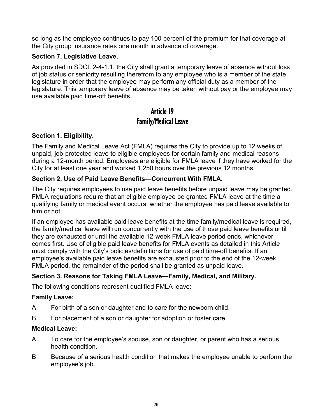so long as the employee continues to pay 100 percent of the premium for that coverage at the City group insurance rates one month in advance of coverage.

### **Section 7. Legislative Leave.**

As provided in SDCL 2-4-1.1, the City shall grant a temporary leave of absence without loss of job status or seniority resulting therefrom to any employee who is a member of the state legislature in order that the employee may perform any official duty as a member of the legislature. This temporary leave of absence may be taken without pay or the employee may use available paid time-off benefits.

## Article 19 Family/Medical Leave

### **Section 1. Eligibility.**

The Family and Medical Leave Act (FMLA) requires the City to provide up to 12 weeks of unpaid, job-protected leave to eligible employees for certain family and medical reasons during a 12-month period. Employees are eligible for FMLA leave if they have worked for the City for at least one year and worked 1,250 hours over the previous 12 months.

### **Section 2. Use of Paid Leave Benefits—Concurrent With FMLA.**

The City requires employees to use paid leave benefits before unpaid leave may be granted. FMLA regulations require that an eligible employee be granted FMLA leave at the time a qualifying family or medical event occurs, whether the employee has paid leave available to him or not.

If an employee has available paid leave benefits at the time family/medical leave is required, the family/medical leave will run concurrently with the use of those paid leave benefits until they are exhausted or until the available 12-week FMLA leave period ends, whichever comes first. Use of eligible paid leave benefits for FMLA events as detailed in this Article must comply with the City's policies/definitions for use of paid time-off benefits. If an employee's available paid leave benefits are exhausted prior to the end of the 12-week FMLA period, the remainder of the period shall be granted as unpaid leave.

### **Section 3. Reasons for Taking FMLA Leave—Family, Medical, and Military.**

The following conditions represent qualified FMLA leave:

### **Family Leave:**

- A. For birth of a son or daughter and to care for the newborn child.
- B. For placement of a son or daughter for adoption or foster care.

#### **Medical Leave:**

- A. To care for the employee's spouse, son or daughter, or parent who has a serious health condition.
- B. Because of a serious health condition that makes the employee unable to perform the employee's job.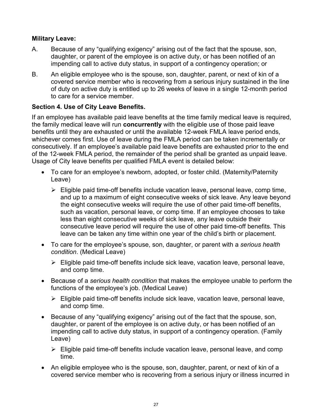#### **Military Leave:**

- A. Because of any "qualifying exigency" arising out of the fact that the spouse, son, daughter, or parent of the employee is on active duty, or has been notified of an impending call to active duty status, in support of a contingency operation; or
- B. An eligible employee who is the spouse, son, daughter, parent, or next of kin of a covered service member who is recovering from a serious injury sustained in the line of duty on active duty is entitled up to 26 weeks of leave in a single 12-month period to care for a service member.

### **Section 4. Use of City Leave Benefits.**

If an employee has available paid leave benefits at the time family medical leave is required, the family medical leave will run **concurrently** with the eligible use of those paid leave benefits until they are exhausted or until the available 12-week FMLA leave period ends, whichever comes first. Use of leave during the FMLA period can be taken incrementally or consecutively. If an employee's available paid leave benefits are exhausted prior to the end of the 12-week FMLA period, the remainder of the period shall be granted as unpaid leave. Usage of City leave benefits per qualified FMLA event is detailed below:

- To care for an employee's newborn, adopted, or foster child. (Maternity/Paternity Leave)
	- $\triangleright$  Eligible paid time-off benefits include vacation leave, personal leave, comp time, and up to a maximum of eight consecutive weeks of sick leave. Any leave beyond the eight consecutive weeks will require the use of other paid time-off benefits, such as vacation, personal leave, or comp time. If an employee chooses to take less than eight consecutive weeks of sick leave, any leave outside their consecutive leave period will require the use of other paid time-off benefits. This leave can be taken any time within one year of the child's birth or placement.
- To care for the employee's spouse, son, daughter, or parent with a *serious health condition*. (Medical Leave)
	- $\triangleright$  Eligible paid time-off benefits include sick leave, vacation leave, personal leave, and comp time.
- Because of a *serious health condition* that makes the employee unable to perform the functions of the employee's job. (Medical Leave)
	- $\triangleright$  Eligible paid time-off benefits include sick leave, vacation leave, personal leave, and comp time.
- Because of any "qualifying exigency" arising out of the fact that the spouse, son, daughter, or parent of the employee is on active duty, or has been notified of an impending call to active duty status, in support of a contingency operation. (Family Leave)
	- $\triangleright$  Eligible paid time-off benefits include vacation leave, personal leave, and comp time.
- An eligible employee who is the spouse, son, daughter, parent, or next of kin of a covered service member who is recovering from a serious injury or illness incurred in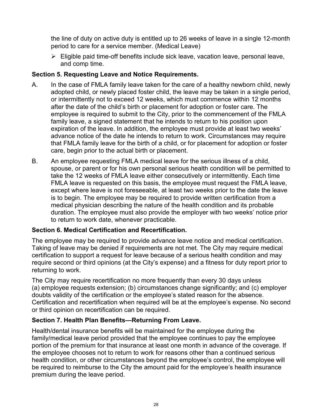the line of duty on active duty is entitled up to 26 weeks of leave in a single 12-month period to care for a service member. (Medical Leave)

 $\triangleright$  Eligible paid time-off benefits include sick leave, vacation leave, personal leave, and comp time.

### **Section 5. Requesting Leave and Notice Requirements.**

- A. In the case of FMLA family leave taken for the care of a healthy newborn child, newly adopted child, or newly placed foster child, the leave may be taken in a single period, or intermittently not to exceed 12 weeks, which must commence within 12 months after the date of the child's birth or placement for adoption or foster care. The employee is required to submit to the City, prior to the commencement of the FMLA family leave, a signed statement that he intends to return to his position upon expiration of the leave. In addition, the employee must provide at least two weeks' advance notice of the date he intends to return to work. Circumstances may require that FMLA family leave for the birth of a child, or for placement for adoption or foster care, begin prior to the actual birth or placement.
- B. An employee requesting FMLA medical leave for the serious illness of a child, spouse, or parent or for his own personal serious health condition will be permitted to take the 12 weeks of FMLA leave either consecutively or intermittently. Each time FMLA leave is requested on this basis, the employee must request the FMLA leave, except where leave is not foreseeable, at least two weeks prior to the date the leave is to begin. The employee may be required to provide written certification from a medical physician describing the nature of the health condition and its probable duration. The employee must also provide the employer with two weeks' notice prior to return to work date, whenever practicable.

### **Section 6. Medical Certification and Recertification.**

The employee may be required to provide advance leave notice and medical certification. Taking of leave may be denied if requirements are not met. The City may require medical certification to support a request for leave because of a serious health condition and may require second or third opinions (at the City's expense) and a fitness for duty report prior to returning to work.

The City may require recertification no more frequently than every 30 days unless (a) employee requests extension; (b) circumstances change significantly; and (c) employer doubts validity of the certification or the employee's stated reason for the absence. Certification and recertification when required will be at the employee's expense. No second or third opinion on recertification can be required.

### **Section 7. Health Plan Benefits—Returning From Leave.**

Health/dental insurance benefits will be maintained for the employee during the family/medical leave period provided that the employee continues to pay the employee portion of the premium for that insurance at least one month in advance of the coverage. If the employee chooses not to return to work for reasons other than a continued serious health condition, or other circumstances beyond the employee's control, the employee will be required to reimburse to the City the amount paid for the employee's health insurance premium during the leave period.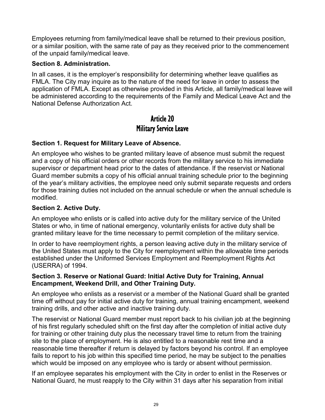Employees returning from family/medical leave shall be returned to their previous position, or a similar position, with the same rate of pay as they received prior to the commencement of the unpaid family/medical leave.

#### **Section 8. Administration.**

In all cases, it is the employer's responsibility for determining whether leave qualifies as FMLA. The City may inquire as to the nature of the need for leave in order to assess the application of FMLA. Except as otherwise provided in this Article, all family/medical leave will be administered according to the requirements of the Family and Medical Leave Act and the National Defense Authorization Act.

## Article 20 Military Service Leave

### **Section 1. Request for Military Leave of Absence.**

An employee who wishes to be granted military leave of absence must submit the request and a copy of his official orders or other records from the military service to his immediate supervisor or department head prior to the dates of attendance. If the reservist or National Guard member submits a copy of his official annual training schedule prior to the beginning of the year's military activities, the employee need only submit separate requests and orders for those training duties not included on the annual schedule or when the annual schedule is modified.

#### **Section 2. Active Duty.**

An employee who enlists or is called into active duty for the military service of the United States or who, in time of national emergency, voluntarily enlists for active duty shall be granted military leave for the time necessary to permit completion of the military service.

In order to have reemployment rights, a person leaving active duty in the military service of the United States must apply to the City for reemployment within the allowable time periods established under the Uniformed Services Employment and Reemployment Rights Act (USERRA) of 1994.

#### **Section 3. Reserve or National Guard: Initial Active Duty for Training, Annual Encampment, Weekend Drill, and Other Training Duty.**

An employee who enlists as a reservist or a member of the National Guard shall be granted time off without pay for initial active duty for training, annual training encampment, weekend training drills, and other active and inactive training duty.

The reservist or National Guard member must report back to his civilian job at the beginning of his first regularly scheduled shift on the first day after the completion of initial active duty for training or other training duty plus the necessary travel time to return from the training site to the place of employment. He is also entitled to a reasonable rest time and a reasonable time thereafter if return is delayed by factors beyond his control. If an employee fails to report to his job within this specified time period, he may be subject to the penalties which would be imposed on any employee who is tardy or absent without permission.

If an employee separates his employment with the City in order to enlist in the Reserves or National Guard, he must reapply to the City within 31 days after his separation from initial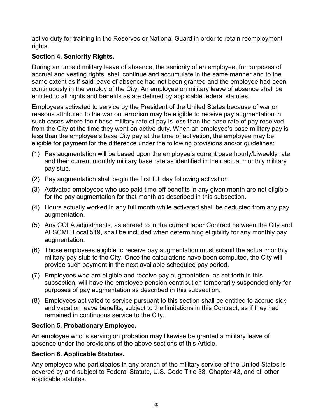active duty for training in the Reserves or National Guard in order to retain reemployment rights.

### **Section 4. Seniority Rights.**

During an unpaid military leave of absence, the seniority of an employee, for purposes of accrual and vesting rights, shall continue and accumulate in the same manner and to the same extent as if said leave of absence had not been granted and the employee had been continuously in the employ of the City. An employee on military leave of absence shall be entitled to all rights and benefits as are defined by applicable federal statutes.

Employees activated to service by the President of the United States because of war or reasons attributed to the war on terrorism may be eligible to receive pay augmentation in such cases where their base military rate of pay is less than the base rate of pay received from the City at the time they went on active duty. When an employee's base military pay is less than the employee's base City pay at the time of activation, the employee may be eligible for payment for the difference under the following provisions and/or guidelines:

- (1) Pay augmentation will be based upon the employee's current base hourly/biweekly rate and their current monthly military base rate as identified in their actual monthly military pay stub.
- (2) Pay augmentation shall begin the first full day following activation.
- (3) Activated employees who use paid time-off benefits in any given month are not eligible for the pay augmentation for that month as described in this subsection.
- (4) Hours actually worked in any full month while activated shall be deducted from any pay augmentation.
- (5) Any COLA adjustments, as agreed to in the current labor Contract between the City and AFSCME Local 519, shall be included when determining eligibility for any monthly pay augmentation.
- (6) Those employees eligible to receive pay augmentation must submit the actual monthly military pay stub to the City. Once the calculations have been computed, the City will provide such payment in the next available scheduled pay period.
- (7) Employees who are eligible and receive pay augmentation, as set forth in this subsection, will have the employee pension contribution temporarily suspended only for purposes of pay augmentation as described in this subsection.
- (8) Employees activated to service pursuant to this section shall be entitled to accrue sick and vacation leave benefits, subject to the limitations in this Contract, as if they had remained in continuous service to the City.

### **Section 5. Probationary Employee.**

An employee who is serving on probation may likewise be granted a military leave of absence under the provisions of the above sections of this Article.

### **Section 6. Applicable Statutes.**

Any employee who participates in any branch of the military service of the United States is covered by and subject to Federal Statute, U.S. Code Title 38, Chapter 43, and all other applicable statutes.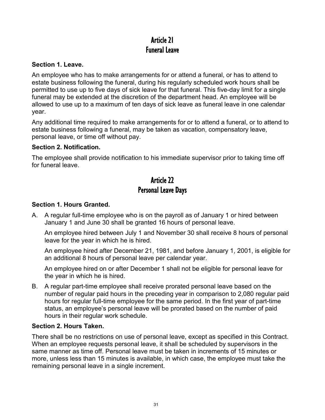## Article 21 Funeral Leave

#### **Section 1. Leave.**

An employee who has to make arrangements for or attend a funeral, or has to attend to estate business following the funeral, during his regularly scheduled work hours shall be permitted to use up to five days of sick leave for that funeral. This five-day limit for a single funeral may be extended at the discretion of the department head. An employee will be allowed to use up to a maximum of ten days of sick leave as funeral leave in one calendar year.

Any additional time required to make arrangements for or to attend a funeral, or to attend to estate business following a funeral, may be taken as vacation, compensatory leave, personal leave, or time off without pay.

#### **Section 2. Notification.**

The employee shall provide notification to his immediate supervisor prior to taking time off for funeral leave.

## Article 22 Personal Leave Days

### **Section 1. Hours Granted.**

A. A regular full-time employee who is on the payroll as of January 1 or hired between January 1 and June 30 shall be granted 16 hours of personal leave.

An employee hired between July 1 and November 30 shall receive 8 hours of personal leave for the year in which he is hired.

An employee hired after December 21, 1981, and before January 1, 2001, is eligible for an additional 8 hours of personal leave per calendar year.

An employee hired on or after December 1 shall not be eligible for personal leave for the year in which he is hired.

B. A regular part-time employee shall receive prorated personal leave based on the number of regular paid hours in the preceding year in comparison to 2,080 regular paid hours for regular full-time employee for the same period. In the first year of part-time status, an employee's personal leave will be prorated based on the number of paid hours in their regular work schedule.

### **Section 2. Hours Taken.**

There shall be no restrictions on use of personal leave, except as specified in this Contract. When an employee requests personal leave, it shall be scheduled by supervisors in the same manner as time off. Personal leave must be taken in increments of 15 minutes or more, unless less than 15 minutes is available, in which case, the employee must take the remaining personal leave in a single increment.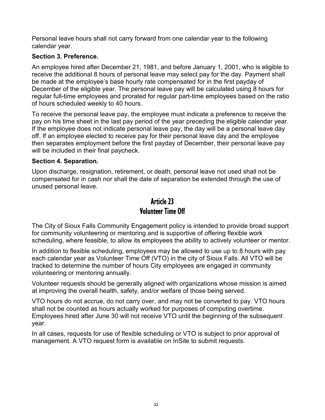Personal leave hours shall not carry forward from one calendar year to the following calendar year.

### **Section 3. Preference.**

An employee hired after December 21, 1981, and before January 1, 2001, who is eligible to receive the additional 8 hours of personal leave may select pay for the day. Payment shall be made at the employee's base hourly rate compensated for in the first payday of December of the eligible year. The personal leave pay will be calculated using 8 hours for regular full-time employees and prorated for regular part-time employees based on the ratio of hours scheduled weekly to 40 hours.

To receive the personal leave pay, the employee must indicate a preference to receive the pay on his time sheet in the last pay period of the year preceding the eligible calendar year. If the employee does not indicate personal leave pay, the day will be a personal leave day off. If an employee elected to receive pay for their personal leave day and the employee then separates employment before the first payday of December, their personal leave pay will be included in their final paycheck.

### **Section 4. Separation.**

Upon discharge, resignation, retirement, or death, personal leave not used shall not be compensated for in cash nor shall the date of separation be extended through the use of unused personal leave.

## Article 23 Volunteer Time Off

The City of Sioux Falls Community Engagement policy is intended to provide broad support for community volunteering or mentoring and is supportive of offering flexible work scheduling, where feasible, to allow its employees the ability to actively volunteer or mentor.

In addition to flexible scheduling, employees may be allowed to use up to 8 hours with pay each calendar year as Volunteer Time Off (VTO) in the city of Sioux Falls. All VTO will be tracked to determine the number of hours City employees are engaged in community volunteering or mentoring annually.

Volunteer requests should be generally aligned with organizations whose mission is aimed at improving the overall health, safety, and/or welfare of those being served.

VTO hours do not accrue, do not carry over, and may not be converted to pay. VTO hours shall not be counted as hours actually worked for purposes of computing overtime. Employees hired after June 30 will not receive VTO until the beginning of the subsequent year.

In all cases, requests for use of flexible scheduling or VTO is subject to prior approval of management. A VTO request form is available on InSite to submit requests.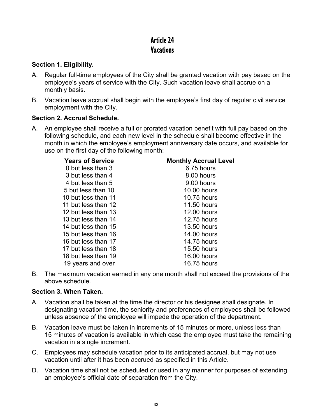## Article 24 **Vacations**

### **Section 1. Eligibility.**

- A. Regular full-time employees of the City shall be granted vacation with pay based on the employee's years of service with the City. Such vacation leave shall accrue on a monthly basis.
- B. Vacation leave accrual shall begin with the employee's first day of regular civil service employment with the City.

### **Section 2. Accrual Schedule.**

A. An employee shall receive a full or prorated vacation benefit with full pay based on the following schedule, and each new level in the schedule shall become effective in the month in which the employee's employment anniversary date occurs, and available for use on the first day of the following month:

| <b>Years of Service</b> | <b>Monthly Accrual Level</b> |
|-------------------------|------------------------------|
| 0 but less than 3       | 6.75 hours                   |
| 3 but less than 4       | 8.00 hours                   |
| 4 but less than 5       | 9.00 hours                   |
| 5 but less than 10      | <b>10.00 hours</b>           |
| 10 but less than 11     | <b>10.75 hours</b>           |
| 11 but less than 12     | <b>11.50 hours</b>           |
| 12 but less than 13     | <b>12.00 hours</b>           |
| 13 but less than 14     | <b>12.75 hours</b>           |
| 14 but less than 15     | <b>13.50 hours</b>           |
| 15 but less than 16     | <b>14.00 hours</b>           |
| 16 but less than 17     | <b>14.75 hours</b>           |
| 17 but less than 18     | <b>15.50 hours</b>           |
| 18 but less than 19     | <b>16.00 hours</b>           |
| 19 years and over       | <b>16.75 hours</b>           |
|                         |                              |

B. The maximum vacation earned in any one month shall not exceed the provisions of the above schedule.

### **Section 3. When Taken.**

- A. Vacation shall be taken at the time the director or his designee shall designate. In designating vacation time, the seniority and preferences of employees shall be followed unless absence of the employee will impede the operation of the department.
- B. Vacation leave must be taken in increments of 15 minutes or more, unless less than 15 minutes of vacation is available in which case the employee must take the remaining vacation in a single increment.
- C. Employees may schedule vacation prior to its anticipated accrual, but may not use vacation until after it has been accrued as specified in this Article.
- D. Vacation time shall not be scheduled or used in any manner for purposes of extending an employee's official date of separation from the City.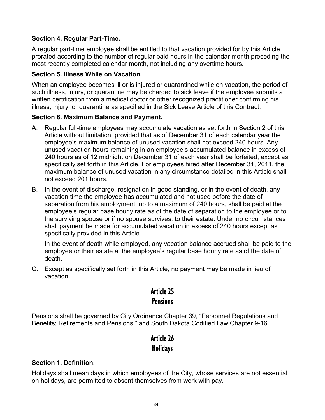#### **Section 4. Regular Part-Time.**

A regular part-time employee shall be entitled to that vacation provided for by this Article prorated according to the number of regular paid hours in the calendar month preceding the most recently completed calendar month, not including any overtime hours.

#### **Section 5. Illness While on Vacation.**

When an employee becomes ill or is injured or quarantined while on vacation, the period of such illness, injury, or quarantine may be charged to sick leave if the employee submits a written certification from a medical doctor or other recognized practitioner confirming his illness, injury, or quarantine as specified in the Sick Leave Article of this Contract.

#### **Section 6. Maximum Balance and Payment.**

- A. Regular full-time employees may accumulate vacation as set forth in Section 2 of this Article without limitation, provided that as of December 31 of each calendar year the employee's maximum balance of unused vacation shall not exceed 240 hours. Any unused vacation hours remaining in an employee's accumulated balance in excess of 240 hours as of 12 midnight on December 31 of each year shall be forfeited, except as specifically set forth in this Article. For employees hired after December 31, 2011, the maximum balance of unused vacation in any circumstance detailed in this Article shall not exceed 201 hours.
- B. In the event of discharge, resignation in good standing, or in the event of death, any vacation time the employee has accumulated and not used before the date of separation from his employment, up to a maximum of 240 hours, shall be paid at the employee's regular base hourly rate as of the date of separation to the employee or to the surviving spouse or if no spouse survives, to their estate. Under no circumstances shall payment be made for accumulated vacation in excess of 240 hours except as specifically provided in this Article.

In the event of death while employed, any vacation balance accrued shall be paid to the employee or their estate at the employee's regular base hourly rate as of the date of death.

C. Except as specifically set forth in this Article, no payment may be made in lieu of vacation.

## Article 25 **Pensions**

Pensions shall be governed by City Ordinance Chapter 39, "Personnel Regulations and Benefits; Retirements and Pensions," and South Dakota Codified Law Chapter 9-16.

## Article 26 **Holidays**

#### **Section 1. Definition.**

Holidays shall mean days in which employees of the City, whose services are not essential on holidays, are permitted to absent themselves from work with pay.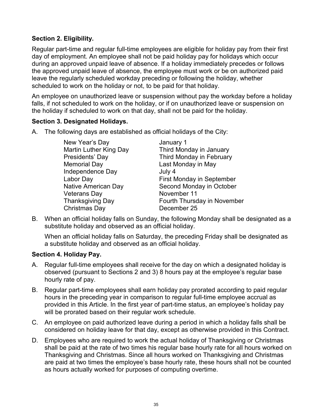### **Section 2. Eligibility.**

Regular part-time and regular full-time employees are eligible for holiday pay from their first day of employment. An employee shall not be paid holiday pay for holidays which occur during an approved unpaid leave of absence. If a holiday immediately precedes or follows the approved unpaid leave of absence, the employee must work or be on authorized paid leave the regularly scheduled workday preceding or following the holiday, whether scheduled to work on the holiday or not, to be paid for that holiday.

An employee on unauthorized leave or suspension without pay the workday before a holiday falls, if not scheduled to work on the holiday, or if on unauthorized leave or suspension on the holiday if scheduled to work on that day, shall not be paid for the holiday.

#### **Section 3. Designated Holidays.**

A. The following days are established as official holidays of the City:

New Year's Day January 1<br>Martin Luther King Day Third Mon Presidents' Day Third Monday in February Memorial Day **Last Monday in May** Independence Day July 4 Veterans Day November 11 Christmas Day December 25

Third Monday in January Labor Day **First Monday** in September Native American Day Second Monday in October Thanksgiving Day Fourth Thursday in November

B. When an official holiday falls on Sunday, the following Monday shall be designated as a substitute holiday and observed as an official holiday.

When an official holiday falls on Saturday, the preceding Friday shall be designated as a substitute holiday and observed as an official holiday.

#### **Section 4. Holiday Pay.**

- A. Regular full-time employees shall receive for the day on which a designated holiday is observed (pursuant to Sections 2 and 3) 8 hours pay at the employee's regular base hourly rate of pay.
- B. Regular part-time employees shall earn holiday pay prorated according to paid regular hours in the preceding year in comparison to regular full-time employee accrual as provided in this Article. In the first year of part-time status, an employee's holiday pay will be prorated based on their regular work schedule.
- C. An employee on paid authorized leave during a period in which a holiday falls shall be considered on holiday leave for that day, except as otherwise provided in this Contract.
- D. Employees who are required to work the actual holiday of Thanksgiving or Christmas shall be paid at the rate of two times his regular base hourly rate for all hours worked on Thanksgiving and Christmas. Since all hours worked on Thanksgiving and Christmas are paid at two times the employee's base hourly rate, these hours shall not be counted as hours actually worked for purposes of computing overtime.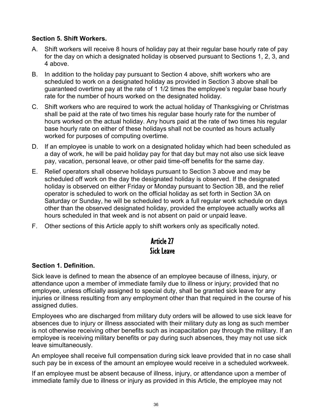#### **Section 5. Shift Workers.**

- A. Shift workers will receive 8 hours of holiday pay at their regular base hourly rate of pay for the day on which a designated holiday is observed pursuant to Sections 1, 2, 3, and 4 above.
- B. In addition to the holiday pay pursuant to Section 4 above, shift workers who are scheduled to work on a designated holiday as provided in Section 3 above shall be guaranteed overtime pay at the rate of 1 1/2 times the employee's regular base hourly rate for the number of hours worked on the designated holiday.
- C. Shift workers who are required to work the actual holiday of Thanksgiving or Christmas shall be paid at the rate of two times his regular base hourly rate for the number of hours worked on the actual holiday. Any hours paid at the rate of two times his regular base hourly rate on either of these holidays shall not be counted as hours actually worked for purposes of computing overtime.
- D. If an employee is unable to work on a designated holiday which had been scheduled as a day of work, he will be paid holiday pay for that day but may not also use sick leave pay, vacation, personal leave, or other paid time-off benefits for the same day.
- E. Relief operators shall observe holidays pursuant to Section 3 above and may be scheduled off work on the day the designated holiday is observed. If the designated holiday is observed on either Friday or Monday pursuant to Section 3B, and the relief operator is scheduled to work on the official holiday as set forth in Section 3A on Saturday or Sunday, he will be scheduled to work a full regular work schedule on days other than the observed designated holiday, provided the employee actually works all hours scheduled in that week and is not absent on paid or unpaid leave.
- F. Other sections of this Article apply to shift workers only as specifically noted.

## Article 27 Sick Leave

### **Section 1. Definition.**

Sick leave is defined to mean the absence of an employee because of illness, injury, or attendance upon a member of immediate family due to illness or injury; provided that no employee, unless officially assigned to special duty, shall be granted sick leave for any injuries or illness resulting from any employment other than that required in the course of his assigned duties.

Employees who are discharged from military duty orders will be allowed to use sick leave for absences due to injury or illness associated with their military duty as long as such member is not otherwise receiving other benefits such as incapacitation pay through the military. If an employee is receiving military benefits or pay during such absences, they may not use sick leave simultaneously.

An employee shall receive full compensation during sick leave provided that in no case shall such pay be in excess of the amount an employee would receive in a scheduled workweek.

If an employee must be absent because of illness, injury, or attendance upon a member of immediate family due to illness or injury as provided in this Article, the employee may not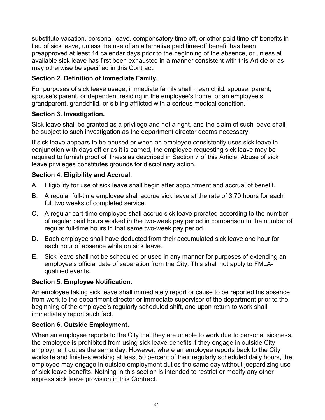substitute vacation, personal leave, compensatory time off, or other paid time-off benefits in lieu of sick leave, unless the use of an alternative paid time-off benefit has been preapproved at least 14 calendar days prior to the beginning of the absence, or unless all available sick leave has first been exhausted in a manner consistent with this Article or as may otherwise be specified in this Contract.

### **Section 2. Definition of Immediate Family.**

For purposes of sick leave usage, immediate family shall mean child, spouse, parent, spouse's parent, or dependent residing in the employee's home, or an employee's grandparent, grandchild, or sibling afflicted with a serious medical condition.

### **Section 3. Investigation.**

Sick leave shall be granted as a privilege and not a right, and the claim of such leave shall be subject to such investigation as the department director deems necessary.

If sick leave appears to be abused or when an employee consistently uses sick leave in conjunction with days off or as it is earned, the employee requesting sick leave may be required to furnish proof of illness as described in Section 7 of this Article. Abuse of sick leave privileges constitutes grounds for disciplinary action.

### **Section 4. Eligibility and Accrual.**

- A. Eligibility for use of sick leave shall begin after appointment and accrual of benefit.
- B. A regular full-time employee shall accrue sick leave at the rate of 3.70 hours for each full two weeks of completed service.
- C. A regular part-time employee shall accrue sick leave prorated according to the number of regular paid hours worked in the two-week pay period in comparison to the number of regular full-time hours in that same two-week pay period.
- D. Each employee shall have deducted from their accumulated sick leave one hour for each hour of absence while on sick leave.
- E. Sick leave shall not be scheduled or used in any manner for purposes of extending an employee's official date of separation from the City. This shall not apply to FMLAqualified events.

### **Section 5. Employee Notification.**

An employee taking sick leave shall immediately report or cause to be reported his absence from work to the department director or immediate supervisor of the department prior to the beginning of the employee's regularly scheduled shift, and upon return to work shall immediately report such fact.

### **Section 6. Outside Employment.**

When an employee reports to the City that they are unable to work due to personal sickness, the employee is prohibited from using sick leave benefits if they engage in outside City employment duties the same day. However, where an employee reports back to the City worksite and finishes working at least 50 percent of their regularly scheduled daily hours, the employee may engage in outside employment duties the same day without jeopardizing use of sick leave benefits. Nothing in this section is intended to restrict or modify any other express sick leave provision in this Contract.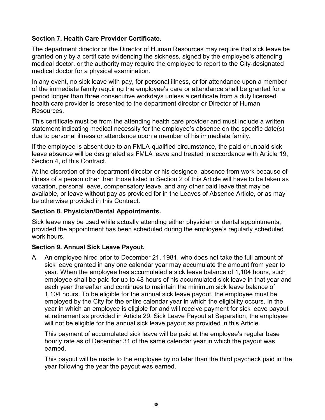### **Section 7. Health Care Provider Certificate.**

The department director or the Director of Human Resources may require that sick leave be granted only by a certificate evidencing the sickness, signed by the employee's attending medical doctor, or the authority may require the employee to report to the City-designated medical doctor for a physical examination.

In any event, no sick leave with pay, for personal illness, or for attendance upon a member of the immediate family requiring the employee's care or attendance shall be granted for a period longer than three consecutive workdays unless a certificate from a duly licensed health care provider is presented to the department director or Director of Human **Resources** 

This certificate must be from the attending health care provider and must include a written statement indicating medical necessity for the employee's absence on the specific date(s) due to personal illness or attendance upon a member of his immediate family.

If the employee is absent due to an FMLA-qualified circumstance, the paid or unpaid sick leave absence will be designated as FMLA leave and treated in accordance with Article 19, Section 4, of this Contract.

At the discretion of the department director or his designee, absence from work because of illness of a person other than those listed in Section 2 of this Article will have to be taken as vacation, personal leave, compensatory leave, and any other paid leave that may be available, or leave without pay as provided for in the Leaves of Absence Article, or as may be otherwise provided in this Contract.

#### **Section 8. Physician/Dental Appointments.**

Sick leave may be used while actually attending either physician or dental appointments, provided the appointment has been scheduled during the employee's regularly scheduled work hours.

### **Section 9. Annual Sick Leave Payout.**

A. An employee hired prior to December 21, 1981, who does not take the full amount of sick leave granted in any one calendar year may accumulate the amount from year to year. When the employee has accumulated a sick leave balance of 1,104 hours, such employee shall be paid for up to 48 hours of his accumulated sick leave in that year and each year thereafter and continues to maintain the minimum sick leave balance of 1,104 hours. To be eligible for the annual sick leave payout, the employee must be employed by the City for the entire calendar year in which the eligibility occurs. In the year in which an employee is eligible for and will receive payment for sick leave payout at retirement as provided in Article 29, Sick Leave Payout at Separation, the employee will not be eligible for the annual sick leave payout as provided in this Article.

This payment of accumulated sick leave will be paid at the employee's regular base hourly rate as of December 31 of the same calendar year in which the payout was earned.

This payout will be made to the employee by no later than the third paycheck paid in the year following the year the payout was earned.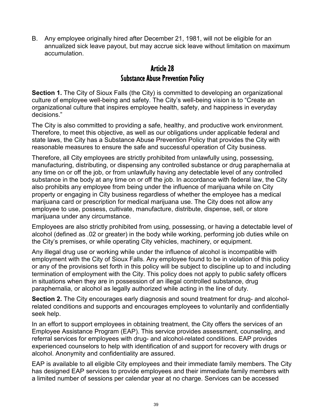B. Any employee originally hired after December 21, 1981, will not be eligible for an annualized sick leave payout, but may accrue sick leave without limitation on maximum accumulation.

## Article 28 Substance Abuse Prevention Policy

**Section 1.** The City of Sioux Falls (the City) is committed to developing an organizational culture of employee well-being and safety. The City's well-being vision is to "Create an organizational culture that inspires employee health, safety, and happiness in everyday decisions."

The City is also committed to providing a safe, healthy, and productive work environment. Therefore, to meet this objective, as well as our obligations under applicable federal and state laws, the City has a Substance Abuse Prevention Policy that provides the City with reasonable measures to ensure the safe and successful operation of City business.

Therefore, all City employees are strictly prohibited from unlawfully using, possessing, manufacturing, distributing, or dispensing any controlled substance or drug paraphernalia at any time on or off the job, or from unlawfully having any detectable level of any controlled substance in the body at any time on or off the job. In accordance with federal law, the City also prohibits any employee from being under the influence of marijuana while on City property or engaging in City business regardless of whether the employee has a medical marijuana card or prescription for medical marijuana use. The City does not allow any employee to use, possess, cultivate, manufacture, distribute, dispense, sell, or store marijuana under any circumstance.

Employees are also strictly prohibited from using, possessing, or having a detectable level of alcohol (defined as .02 or greater) in the body while working, performing job duties while on the City's premises, or while operating City vehicles, machinery, or equipment.

Any illegal drug use or working while under the influence of alcohol is incompatible with employment with the City of Sioux Falls. Any employee found to be in violation of this policy or any of the provisions set forth in this policy will be subject to discipline up to and including termination of employment with the City. This policy does not apply to public safety officers in situations when they are in possession of an illegal controlled substance, drug paraphernalia, or alcohol as legally authorized while acting in the line of duty.

**Section 2.** The City encourages early diagnosis and sound treatment for drug- and alcoholrelated conditions and supports and encourages employees to voluntarily and confidentially seek help.

In an effort to support employees in obtaining treatment, the City offers the services of an Employee Assistance Program (EAP). This service provides assessment, counseling, and referral services for employees with drug- and alcohol-related conditions. EAP provides experienced counselors to help with identification of and support for recovery with drugs or alcohol. Anonymity and confidentiality are assured.

EAP is available to all eligible City employees and their immediate family members. The City has designed EAP services to provide employees and their immediate family members with a limited number of sessions per calendar year at no charge. Services can be accessed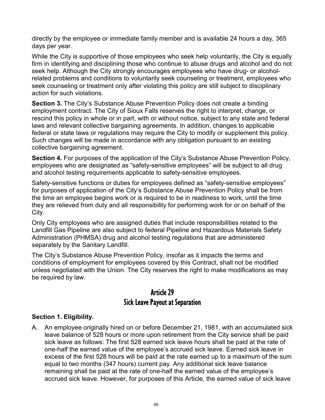directly by the employee or immediate family member and is available 24 hours a day, 365 days per year.

While the City is supportive of those employees who seek help voluntarily, the City is equally firm in identifying and disciplining those who continue to abuse drugs and alcohol and do not seek help. Although the City strongly encourages employees who have drug- or alcoholrelated problems and conditions to voluntarily seek counseling or treatment, employees who seek counseling or treatment only after violating this policy are still subject to disciplinary action for such violations.

**Section 3.** The City's Substance Abuse Prevention Policy does not create a binding employment contract. The City of Sioux Falls reserves the right to interpret, change, or rescind this policy in whole or in part, with or without notice, subject to any state and federal laws and relevant collective bargaining agreements. In addition, changes to applicable federal or state laws or regulations may require the City to modify or supplement this policy. Such changes will be made in accordance with any obligation pursuant to an existing collective bargaining agreement.

**Section 4.** For purposes of the application of the City's Substance Abuse Prevention Policy, employees who are designated as "safety-sensitive employees" will be subject to all drug and alcohol testing requirements applicable to safety-sensitive employees.

Safety-sensitive functions or duties for employees defined as "safety-sensitive employees" for purposes of application of the City's Substance Abuse Prevention Policy shall be from the time an employee begins work or is required to be in readiness to work, until the time they are relieved from duty and all responsibility for performing work for or on behalf of the City.

Only City employees who are assigned duties that include responsibilities related to the Landfill Gas Pipeline are also subject to federal Pipeline and Hazardous Materials Safety Administration (PHMSA) drug and alcohol testing regulations that are administered separately by the Sanitary Landfill.

The City's Substance Abuse Prevention Policy, insofar as it impacts the terms and conditions of employment for employees covered by this Contract, shall not be modified unless negotiated with the Union. The City reserves the right to make modifications as may be required by law.

## Article 29 Sick Leave Payout at Separation

#### **Section 1. Eligibility.**

A. An employee originally hired on or before December 21, 1981, with an accumulated sick leave balance of 528 hours or more upon retirement from the City service shall be paid sick leave as follows: The first 528 earned sick leave hours shall be paid at the rate of one-half the earned value of the employee's accrued sick leave. Earned sick leave in excess of the first 528 hours will be paid at the rate earned up to a maximum of the sum equal to two months (347 hours) current pay. Any additional sick leave balance remaining shall be paid at the rate of one-half the earned value of the employee's accrued sick leave. However, for purposes of this Article, the earned value of sick leave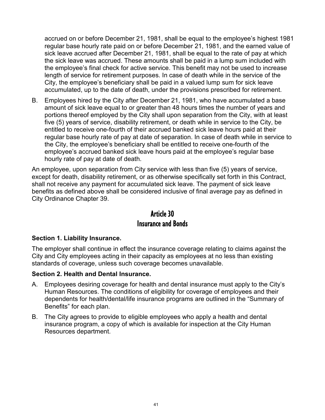accrued on or before December 21, 1981, shall be equal to the employee's highest 1981 regular base hourly rate paid on or before December 21, 1981, and the earned value of sick leave accrued after December 21, 1981, shall be equal to the rate of pay at which the sick leave was accrued. These amounts shall be paid in a lump sum included with the employee's final check for active service. This benefit may not be used to increase length of service for retirement purposes. In case of death while in the service of the City, the employee's beneficiary shall be paid in a valued lump sum for sick leave accumulated, up to the date of death, under the provisions prescribed for retirement.

B. Employees hired by the City after December 21, 1981, who have accumulated a base amount of sick leave equal to or greater than 48 hours times the number of years and portions thereof employed by the City shall upon separation from the City, with at least five (5) years of service, disability retirement, or death while in service to the City, be entitled to receive one-fourth of their accrued banked sick leave hours paid at their regular base hourly rate of pay at date of separation. In case of death while in service to the City, the employee's beneficiary shall be entitled to receive one-fourth of the employee's accrued banked sick leave hours paid at the employee's regular base hourly rate of pay at date of death.

An employee, upon separation from City service with less than five (5) years of service, except for death, disability retirement, or as otherwise specifically set forth in this Contract, shall not receive any payment for accumulated sick leave. The payment of sick leave benefits as defined above shall be considered inclusive of final average pay as defined in City Ordinance Chapter 39.

## Article 30 Insurance and Bonds

### **Section 1. Liability Insurance.**

The employer shall continue in effect the insurance coverage relating to claims against the City and City employees acting in their capacity as employees at no less than existing standards of coverage, unless such coverage becomes unavailable.

#### **Section 2. Health and Dental Insurance.**

- A. Employees desiring coverage for health and dental insurance must apply to the City's Human Resources. The conditions of eligibility for coverage of employees and their dependents for health/dental/life insurance programs are outlined in the "Summary of Benefits" for each plan.
- B. The City agrees to provide to eligible employees who apply a health and dental insurance program, a copy of which is available for inspection at the City Human Resources department.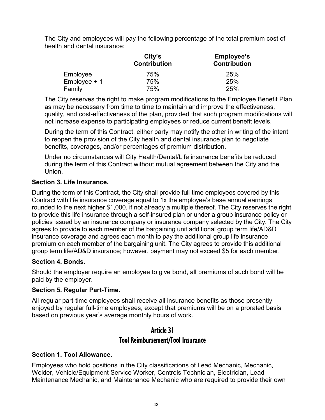The City and employees will pay the following percentage of the total premium cost of health and dental insurance:

|                | City's<br><b>Contribution</b> | <b>Employee's</b><br><b>Contribution</b> |
|----------------|-------------------------------|------------------------------------------|
| Employee       | 75%                           | 25%                                      |
| $Employee + 1$ | 75%                           | 25%                                      |
| Family         | 75%                           | 25%                                      |

The City reserves the right to make program modifications to the Employee Benefit Plan as may be necessary from time to time to maintain and improve the effectiveness, quality, and cost-effectiveness of the plan, provided that such program modifications will not increase expense to participating employees or reduce current benefit levels.

During the term of this Contract, either party may notify the other in writing of the intent to reopen the provision of the City health and dental insurance plan to negotiate benefits, coverages, and/or percentages of premium distribution.

Under no circumstances will City Health/Dental/Life insurance benefits be reduced during the term of this Contract without mutual agreement between the City and the Union.

### **Section 3. Life Insurance.**

During the term of this Contract, the City shall provide full-time employees covered by this Contract with life insurance coverage equal to 1x the employee's base annual earnings rounded to the next higher \$1,000, if not already a multiple thereof. The City reserves the right to provide this life insurance through a self-insured plan or under a group insurance policy or policies issued by an insurance company or insurance company selected by the City. The City agrees to provide to each member of the bargaining unit additional group term life/AD&D insurance coverage and agrees each month to pay the additional group life insurance premium on each member of the bargaining unit. The City agrees to provide this additional group term life/AD&D insurance; however, payment may not exceed \$5 for each member.

### **Section 4. Bonds.**

Should the employer require an employee to give bond, all premiums of such bond will be paid by the employer.

### **Section 5. Regular Part-Time.**

All regular part-time employees shall receive all insurance benefits as those presently enjoyed by regular full-time employees, except that premiums will be on a prorated basis based on previous year's average monthly hours of work.

## Article 31 Tool Reimbursement/Tool Insurance

### **Section 1. Tool Allowance.**

Employees who hold positions in the City classifications of Lead Mechanic, Mechanic, Welder, Vehicle/Equipment Service Worker, Controls Technician, Electrician, Lead Maintenance Mechanic, and Maintenance Mechanic who are required to provide their own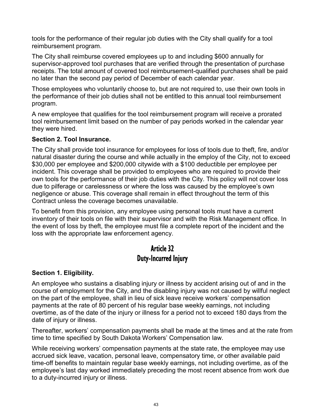tools for the performance of their regular job duties with the City shall qualify for a tool reimbursement program.

The City shall reimburse covered employees up to and including \$600 annually for supervisor-approved tool purchases that are verified through the presentation of purchase receipts. The total amount of covered tool reimbursement-qualified purchases shall be paid no later than the second pay period of December of each calendar year.

Those employees who voluntarily choose to, but are not required to, use their own tools in the performance of their job duties shall not be entitled to this annual tool reimbursement program.

A new employee that qualifies for the tool reimbursement program will receive a prorated tool reimbursement limit based on the number of pay periods worked in the calendar year they were hired.

#### **Section 2. Tool Insurance.**

The City shall provide tool insurance for employees for loss of tools due to theft, fire, and/or natural disaster during the course and while actually in the employ of the City, not to exceed \$30,000 per employee and \$200,000 citywide with a \$100 deductible per employee per incident. This coverage shall be provided to employees who are required to provide their own tools for the performance of their job duties with the City. This policy will not cover loss due to pilferage or carelessness or where the loss was caused by the employee's own negligence or abuse. This coverage shall remain in effect throughout the term of this Contract unless the coverage becomes unavailable.

To benefit from this provision, any employee using personal tools must have a current inventory of their tools on file with their supervisor and with the Risk Management office. In the event of loss by theft, the employee must file a complete report of the incident and the loss with the appropriate law enforcement agency.

## Article 32 Duty-Incurred Injury

### **Section 1. Eligibility.**

An employee who sustains a disabling injury or illness by accident arising out of and in the course of employment for the City, and the disabling injury was not caused by willful neglect on the part of the employee, shall in lieu of sick leave receive workers' compensation payments at the rate of 80 percent of his regular base weekly earnings, not including overtime, as of the date of the injury or illness for a period not to exceed 180 days from the date of injury or illness.

Thereafter, workers' compensation payments shall be made at the times and at the rate from time to time specified by South Dakota Workers' Compensation law.

While receiving workers' compensation payments at the state rate, the employee may use accrued sick leave, vacation, personal leave, compensatory time, or other available paid time-off benefits to maintain regular base weekly earnings, not including overtime, as of the employee's last day worked immediately preceding the most recent absence from work due to a duty-incurred injury or illness.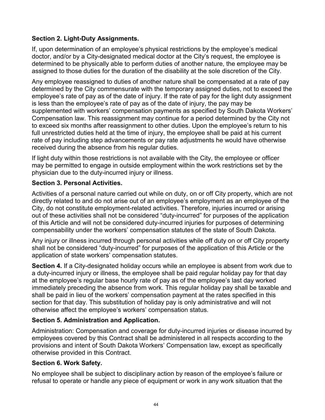### **Section 2. Light-Duty Assignments.**

If, upon determination of an employee's physical restrictions by the employee's medical doctor, and/or by a City-designated medical doctor at the City's request, the employee is determined to be physically able to perform duties of another nature, the employee may be assigned to those duties for the duration of the disability at the sole discretion of the City.

Any employee reassigned to duties of another nature shall be compensated at a rate of pay determined by the City commensurate with the temporary assigned duties, not to exceed the employee's rate of pay as of the date of injury. If the rate of pay for the light duty assignment is less than the employee's rate of pay as of the date of injury, the pay may be supplemented with workers' compensation payments as specified by South Dakota Workers' Compensation law. This reassignment may continue for a period determined by the City not to exceed six months after reassignment to other duties. Upon the employee's return to his full unrestricted duties held at the time of injury, the employee shall be paid at his current rate of pay including step advancements or pay rate adjustments he would have otherwise received during the absence from his regular duties.

If light duty within those restrictions is not available with the City, the employee or officer may be permitted to engage in outside employment within the work restrictions set by the physician due to the duty-incurred injury or illness.

### **Section 3. Personal Activities.**

Activities of a personal nature carried out while on duty, on or off City property, which are not directly related to and do not arise out of an employee's employment as an employee of the City, do not constitute employment-related activities. Therefore, injuries incurred or arising out of these activities shall not be considered "duty-incurred" for purposes of the application of this Article and will not be considered duty-incurred injuries for purposes of determining compensability under the workers' compensation statutes of the state of South Dakota.

Any injury or illness incurred through personal activities while off duty on or off City property shall not be considered "duty-incurred" for purposes of the application of this Article or the application of state workers' compensation statutes.

**Section 4.** If a City-designated holiday occurs while an employee is absent from work due to a duty-incurred injury or illness, the employee shall be paid regular holiday pay for that day at the employee's regular base hourly rate of pay as of the employee's last day worked immediately preceding the absence from work. This regular holiday pay shall be taxable and shall be paid in lieu of the workers' compensation payment at the rates specified in this section for that day. This substitution of holiday pay is only administrative and will not otherwise affect the employee's workers' compensation status.

### **Section 5. Administration and Application.**

Administration: Compensation and coverage for duty-incurred injuries or disease incurred by employees covered by this Contract shall be administered in all respects according to the provisions and intent of South Dakota Workers' Compensation law, except as specifically otherwise provided in this Contract.

### **Section 6. Work Safety.**

No employee shall be subject to disciplinary action by reason of the employee's failure or refusal to operate or handle any piece of equipment or work in any work situation that the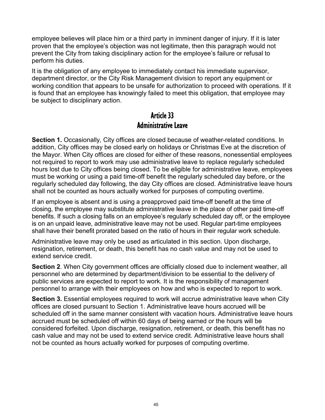employee believes will place him or a third party in imminent danger of injury. If it is later proven that the employee's objection was not legitimate, then this paragraph would not prevent the City from taking disciplinary action for the employee's failure or refusal to perform his duties.

It is the obligation of any employee to immediately contact his immediate supervisor, department director, or the City Risk Management division to report any equipment or working condition that appears to be unsafe for authorization to proceed with operations. If it is found that an employee has knowingly failed to meet this obligation, that employee may be subject to disciplinary action.

## Article 33 Administrative Leave

**Section 1.** Occasionally, City offices are closed because of weather-related conditions. In addition, City offices may be closed early on holidays or Christmas Eve at the discretion of the Mayor. When City offices are closed for either of these reasons, nonessential employees not required to report to work may use administrative leave to replace regularly scheduled hours lost due to City offices being closed. To be eligible for administrative leave, employees must be working or using a paid time-off benefit the regularly scheduled day before, or the regularly scheduled day following, the day City offices are closed. Administrative leave hours shall not be counted as hours actually worked for purposes of computing overtime.

If an employee is absent and is using a preapproved paid time-off benefit at the time of closing, the employee may substitute administrative leave in the place of other paid time-off benefits. If such a closing falls on an employee's regularly scheduled day off, or the employee is on an unpaid leave, administrative leave may not be used. Regular part-time employees shall have their benefit prorated based on the ratio of hours in their regular work schedule.

Administrative leave may only be used as articulated in this section. Upon discharge, resignation, retirement, or death, this benefit has no cash value and may not be used to extend service credit.

**Section 2.** When City government offices are officially closed due to inclement weather, all personnel who are determined by department/division to be essential to the delivery of public services are expected to report to work. It is the responsibility of management personnel to arrange with their employees on how and who is expected to report to work.

**Section 3.** Essential employees required to work will accrue administrative leave when City offices are closed pursuant to Section 1. Administrative leave hours accrued will be scheduled off in the same manner consistent with vacation hours. Administrative leave hours accrued must be scheduled off within 60 days of being earned or the hours will be considered forfeited. Upon discharge, resignation, retirement, or death, this benefit has no cash value and may not be used to extend service credit. Administrative leave hours shall not be counted as hours actually worked for purposes of computing overtime.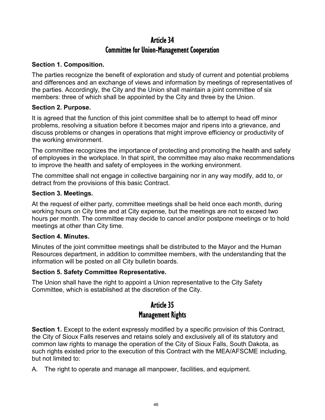## Article 34 Committee for Union-Management Cooperation

#### **Section 1. Composition.**

The parties recognize the benefit of exploration and study of current and potential problems and differences and an exchange of views and information by meetings of representatives of the parties. Accordingly, the City and the Union shall maintain a joint committee of six members: three of which shall be appointed by the City and three by the Union.

#### **Section 2. Purpose.**

It is agreed that the function of this joint committee shall be to attempt to head off minor problems, resolving a situation before it becomes major and ripens into a grievance, and discuss problems or changes in operations that might improve efficiency or productivity of the working environment.

The committee recognizes the importance of protecting and promoting the health and safety of employees in the workplace. In that spirit, the committee may also make recommendations to improve the health and safety of employees in the working environment.

The committee shall not engage in collective bargaining nor in any way modify, add to, or detract from the provisions of this basic Contract.

#### **Section 3. Meetings.**

At the request of either party, committee meetings shall be held once each month, during working hours on City time and at City expense, but the meetings are not to exceed two hours per month. The committee may decide to cancel and/or postpone meetings or to hold meetings at other than City time.

#### **Section 4. Minutes.**

Minutes of the joint committee meetings shall be distributed to the Mayor and the Human Resources department, in addition to committee members, with the understanding that the information will be posted on all City bulletin boards.

### **Section 5. Safety Committee Representative.**

The Union shall have the right to appoint a Union representative to the City Safety Committee, which is established at the discretion of the City.

## Article 35 Management Rights

**Section 1.** Except to the extent expressly modified by a specific provision of this Contract, the City of Sioux Falls reserves and retains solely and exclusively all of its statutory and common law rights to manage the operation of the City of Sioux Falls, South Dakota, as such rights existed prior to the execution of this Contract with the MEA/AFSCME including, but not limited to:

A. The right to operate and manage all manpower, facilities, and equipment.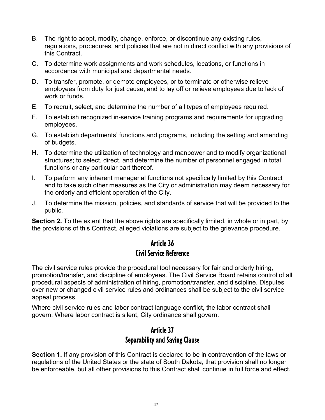- B. The right to adopt, modify, change, enforce, or discontinue any existing rules, regulations, procedures, and policies that are not in direct conflict with any provisions of this Contract.
- C. To determine work assignments and work schedules, locations, or functions in accordance with municipal and departmental needs.
- D. To transfer, promote, or demote employees, or to terminate or otherwise relieve employees from duty for just cause, and to lay off or relieve employees due to lack of work or funds.
- E. To recruit, select, and determine the number of all types of employees required.
- F. To establish recognized in-service training programs and requirements for upgrading employees.
- G. To establish departments' functions and programs, including the setting and amending of budgets.
- H. To determine the utilization of technology and manpower and to modify organizational structures; to select, direct, and determine the number of personnel engaged in total functions or any particular part thereof.
- I. To perform any inherent managerial functions not specifically limited by this Contract and to take such other measures as the City or administration may deem necessary for the orderly and efficient operation of the City.
- J. To determine the mission, policies, and standards of service that will be provided to the public.

**Section 2.** To the extent that the above rights are specifically limited, in whole or in part, by the provisions of this Contract, alleged violations are subject to the grievance procedure.

## Article 36 Civil Service Reference

The civil service rules provide the procedural tool necessary for fair and orderly hiring, promotion/transfer, and discipline of employees. The Civil Service Board retains control of all procedural aspects of administration of hiring, promotion/transfer, and discipline. Disputes over new or changed civil service rules and ordinances shall be subject to the civil service appeal process.

Where civil service rules and labor contract language conflict, the labor contract shall govern. Where labor contract is silent, City ordinance shall govern.

## Article 37 Separability and Saving Clause

**Section 1.** If any provision of this Contract is declared to be in contravention of the laws or regulations of the United States or the state of South Dakota, that provision shall no longer be enforceable, but all other provisions to this Contract shall continue in full force and effect.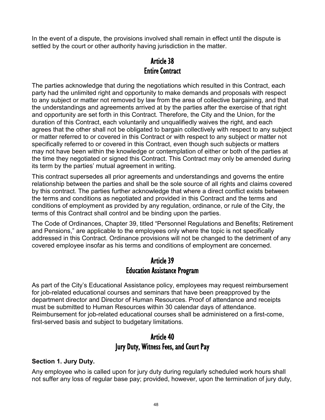In the event of a dispute, the provisions involved shall remain in effect until the dispute is settled by the court or other authority having jurisdiction in the matter.

## Article 38 Entire Contract

The parties acknowledge that during the negotiations which resulted in this Contract, each party had the unlimited right and opportunity to make demands and proposals with respect to any subject or matter not removed by law from the area of collective bargaining, and that the understandings and agreements arrived at by the parties after the exercise of that right and opportunity are set forth in this Contract. Therefore, the City and the Union, for the duration of this Contract, each voluntarily and unqualifiedly waives the right, and each agrees that the other shall not be obligated to bargain collectively with respect to any subject or matter referred to or covered in this Contract or with respect to any subject or matter not specifically referred to or covered in this Contract, even though such subjects or matters may not have been within the knowledge or contemplation of either or both of the parties at the time they negotiated or signed this Contract. This Contract may only be amended during its term by the parties' mutual agreement in writing.

This contract supersedes all prior agreements and understandings and governs the entire relationship between the parties and shall be the sole source of all rights and claims covered by this contract. The parties further acknowledge that where a direct conflict exists between the terms and conditions as negotiated and provided in this Contract and the terms and conditions of employment as provided by any regulation, ordinance, or rule of the City, the terms of this Contract shall control and be binding upon the parties.

The Code of Ordinances, Chapter 39, titled "Personnel Regulations and Benefits; Retirement and Pensions," are applicable to the employees only where the topic is not specifically addressed in this Contract. Ordinance provisions will not be changed to the detriment of any covered employee insofar as his terms and conditions of employment are concerned.

## Article 39 Education Assistance Program

As part of the City's Educational Assistance policy, employees may request reimbursement for job-related educational courses and seminars that have been preapproved by the department director and Director of Human Resources. Proof of attendance and receipts must be submitted to Human Resources within 30 calendar days of attendance. Reimbursement for job-related educational courses shall be administered on a first-come, first-served basis and subject to budgetary limitations.

## Article 40 Jury Duty, Witness Fees, and Court Pay

### **Section 1. Jury Duty.**

Any employee who is called upon for jury duty during regularly scheduled work hours shall not suffer any loss of regular base pay; provided, however, upon the termination of jury duty,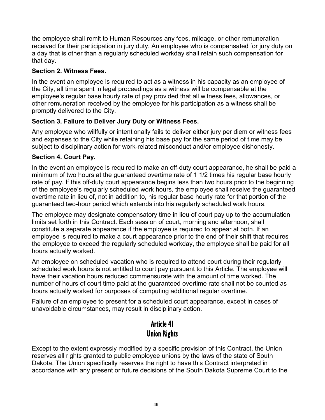the employee shall remit to Human Resources any fees, mileage, or other remuneration received for their participation in jury duty. An employee who is compensated for jury duty on a day that is other than a regularly scheduled workday shall retain such compensation for that day.

### **Section 2. Witness Fees.**

In the event an employee is required to act as a witness in his capacity as an employee of the City, all time spent in legal proceedings as a witness will be compensable at the employee's regular base hourly rate of pay provided that all witness fees, allowances, or other remuneration received by the employee for his participation as a witness shall be promptly delivered to the City.

### **Section 3. Failure to Deliver Jury Duty or Witness Fees.**

Any employee who willfully or intentionally fails to deliver either jury per diem or witness fees and expenses to the City while retaining his base pay for the same period of time may be subject to disciplinary action for work-related misconduct and/or employee dishonesty.

### **Section 4. Court Pay.**

In the event an employee is required to make an off-duty court appearance, he shall be paid a minimum of two hours at the guaranteed overtime rate of 1 1/2 times his regular base hourly rate of pay. If this off-duty court appearance begins less than two hours prior to the beginning of the employee's regularly scheduled work hours, the employee shall receive the guaranteed overtime rate in lieu of, not in addition to, his regular base hourly rate for that portion of the guaranteed two-hour period which extends into his regularly scheduled work hours.

The employee may designate compensatory time in lieu of court pay up to the accumulation limits set forth in this Contract. Each session of court, morning and afternoon, shall constitute a separate appearance if the employee is required to appear at both. If an employee is required to make a court appearance prior to the end of their shift that requires the employee to exceed the regularly scheduled workday, the employee shall be paid for all hours actually worked.

An employee on scheduled vacation who is required to attend court during their regularly scheduled work hours is not entitled to court pay pursuant to this Article. The employee will have their vacation hours reduced commensurate with the amount of time worked. The number of hours of court time paid at the guaranteed overtime rate shall not be counted as hours actually worked for purposes of computing additional regular overtime.

Failure of an employee to present for a scheduled court appearance, except in cases of unavoidable circumstances, may result in disciplinary action.

## Article 41 Union Rights

Except to the extent expressly modified by a specific provision of this Contract, the Union reserves all rights granted to public employee unions by the laws of the state of South Dakota. The Union specifically reserves the right to have this Contract interpreted in accordance with any present or future decisions of the South Dakota Supreme Court to the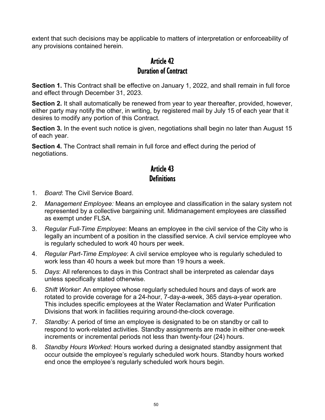extent that such decisions may be applicable to matters of interpretation or enforceability of any provisions contained herein.

## Article 42 Duration of Contract

**Section 1.** This Contract shall be effective on January 1, 2022, and shall remain in full force and effect through December 31, 2023.

**Section 2.** It shall automatically be renewed from year to year thereafter, provided, however, either party may notify the other, in writing, by registered mail by July 15 of each year that it desires to modify any portion of this Contract.

**Section 3.** In the event such notice is given, negotiations shall begin no later than August 15 of each year.

**Section 4.** The Contract shall remain in full force and effect during the period of negotiations.

## Article 43 **Definitions**

- 1. *Board*: The Civil Service Board.
- 2. *Management Employee:* Means an employee and classification in the salary system not represented by a collective bargaining unit. Midmanagement employees are classified as exempt under FLSA.
- 3. *Regular Full-Time Employee*: Means an employee in the civil service of the City who is legally an incumbent of a position in the classified service. A civil service employee who is regularly scheduled to work 40 hours per week.
- 4. *Regular Part-Time Employee*: A civil service employee who is regularly scheduled to work less than 40 hours a week but more than 19 hours a week.
- 5. *Days*: All references to days in this Contract shall be interpreted as calendar days unless specifically stated otherwise.
- 6. *Shift Worker*: An employee whose regularly scheduled hours and days of work are rotated to provide coverage for a 24-hour, 7-day-a-week, 365 days-a-year operation. This includes specific employees at the Water Reclamation and Water Purification Divisions that work in facilities requiring around-the-clock coverage.
- 7. *Standby:* A period of time an employee is designated to be on standby or call to respond to work-related activities. Standby assignments are made in either one-week increments or incremental periods not less than twenty-four (24) hours.
- 8. *Standby Hours Worked:* Hours worked during a designated standby assignment that occur outside the employee's regularly scheduled work hours. Standby hours worked end once the employee's regularly scheduled work hours begin.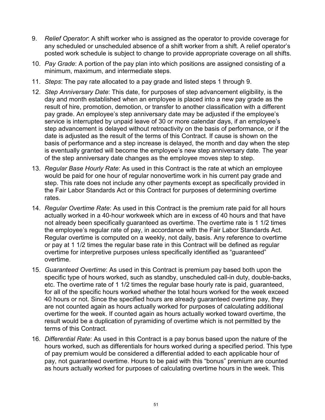- 9. *Relief Operator*: A shift worker who is assigned as the operator to provide coverage for any scheduled or unscheduled absence of a shift worker from a shift. A relief operator's posted work schedule is subject to change to provide appropriate coverage on all shifts.
- 10. *Pay Grade*: A portion of the pay plan into which positions are assigned consisting of a minimum, maximum, and intermediate steps.
- 11. *Steps*: The pay rate allocated to a pay grade and listed steps 1 through 9.
- 12. *Step Anniversary Date*: This date, for purposes of step advancement eligibility, is the day and month established when an employee is placed into a new pay grade as the result of hire, promotion, demotion, or transfer to another classification with a different pay grade. An employee's step anniversary date may be adjusted if the employee's service is interrupted by unpaid leave of 30 or more calendar days, if an employee's step advancement is delayed without retroactivity on the basis of performance, or if the date is adjusted as the result of the terms of this Contract. If cause is shown on the basis of performance and a step increase is delayed, the month and day when the step is eventually granted will become the employee's new step anniversary date. The year of the step anniversary date changes as the employee moves step to step.
- 13. *Regular Base Hourly Rate*: As used in this Contract is the rate at which an employee would be paid for one hour of regular nonovertime work in his current pay grade and step. This rate does not include any other payments except as specifically provided in the Fair Labor Standards Act or this Contract for purposes of determining overtime rates.
- 14. *Regular Overtime Rate*: As used in this Contract is the premium rate paid for all hours actually worked in a 40-hour workweek which are in excess of 40 hours and that have not already been specifically guaranteed as overtime. The overtime rate is 1 1/2 times the employee's regular rate of pay, in accordance with the Fair Labor Standards Act. Regular overtime is computed on a weekly, not daily, basis. Any reference to overtime or pay at 1 1/2 times the regular base rate in this Contract will be defined as regular overtime for interpretive purposes unless specifically identified as "guaranteed" overtime.
- 15. *Guaranteed Overtime*: As used in this Contract is premium pay based both upon the specific type of hours worked, such as standby, unscheduled call-in duty, double-backs, etc. The overtime rate of 1 1/2 times the regular base hourly rate is paid, guaranteed, for all of the specific hours worked whether the total hours worked for the week exceed 40 hours or not. Since the specified hours are already guaranteed overtime pay, they are not counted again as hours actually worked for purposes of calculating additional overtime for the week. If counted again as hours actually worked toward overtime, the result would be a duplication of pyramiding of overtime which is not permitted by the terms of this Contract.
- 16*. Differential Rate*: As used in this Contract is a pay bonus based upon the nature of the hours worked, such as differentials for hours worked during a specified period. This type of pay premium would be considered a differential added to each applicable hour of pay, not guaranteed overtime. Hours to be paid with this "bonus" premium are counted as hours actually worked for purposes of calculating overtime hours in the week. This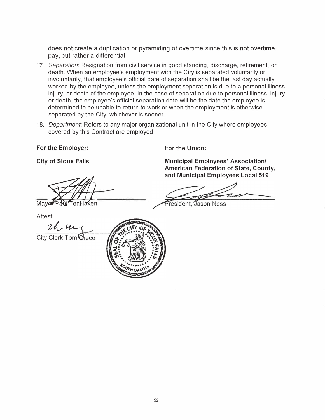does not create a duplication or pyramiding of overtime since this is not overtime pay, but rather a differential.

- 17. *Separation:* Resignation from civil service in good standing, discharge, retirement, or death. When an employee's employment with the City is separated voluntarily or involuntarily, that employee's official date of separation shall be the last day actually worked by the employee, unless the employment separation is due to a personal illness, injury, or death of the employee. In the case of separation due to personal illness, injury, or death, the employee's official separation date will be the date the employee is determined to be unable to return to work or when the employment is otherwise separated by the City, whichever is sooner.
- 18. *Department:* Refers to any major organizational unit in the City where employees covered by this Contract are employed.

**For the Employer:** 

**City of Sioux Falls** 

May Pay TenHo ken -

Attest:

*i/vvtA-*

City Clerk Tom Greco



**For the Union:** 

**Municipal Employees' Association/ American Federation of State, County, and Municipal Employees Local 519** 

resident, Jason Ness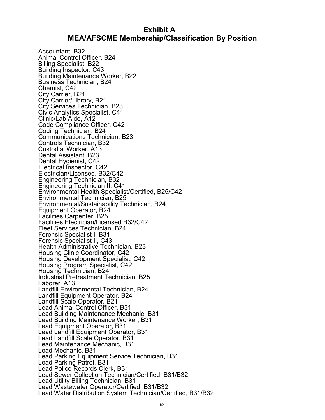### **Exhibit A MEA/AFSCME Membership/Classification By Position**

<span id="page-56-0"></span>Accountant, B32 Animal Control Officer, B24 Billing Specialist, B22 Building Inspector, C43 Building Maintenance Worker, B22 Business Technician, B24 Chemist, C42 City Carrier, B21 City Carrier/Library, B21 City Services Technician, B23 Civic Analytics Specialist, C41 Clinic/Lab Aide, A12 Code Compliance Officer, C42 Coding Technician, B24 Communications Technician, B23 Controls Technician, B32 Custodial Worker, A13 Dental Assistant, B23 Dental Hygienist, C42 Electrical Inspector, C42 Electrician/Licensed, B32/C42 Engineering Technician, B32 Engineering Technician II, C41 Environmental Health Specialist/Certified, B25/C42 Environmental Technician, B25 Environmental/Sustainability Technician, B24 Equipment Operator, B24 Facilities Carpenter, B25 Facilities Electrician/Licensed B32/C42 Fleet Services Technician, B24 Forensic Specialist I, B31 Forensic Specialist II, C43 Health Administrative Technician, B23 Housing Clinic Coordinator, C42 Housing Development Specialist, C42 Housing Program Specialist, C42 Housing Technician, B24 Industrial Pretreatment Technician, B25 Laborer, A13 Landfill Environmental Technician, B24 Landfill Equipment Operator, B24 Landfill Scale Operator, B21 Lead Animal Control Officer, B31 Lead Building Maintenance Mechanic, B31 Lead Building Maintenance Worker, B31 Lead Equipment Operator, B31 Lead Landfill Equipment Operator, B31 Lead Landfill Scale Operator, B31 Lead Maintenance Mechanic, B31 Lead Mechanic, B31 Lead Parking Equipment Service Technician, B31 Lead Parking Patrol, B31 Lead Police Records Clerk, B31 Lead Sewer Collection Technician/Certified, B31/B32 Lead Utility Billing Technician, B31 Lead Wastewater Operator/Certified, B31/B32 Lead Water Distribution System Technician/Certified, B31/B32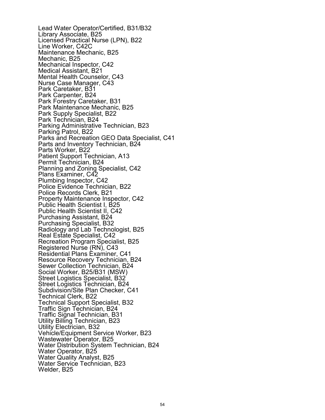Lead Water Operator/Certified, B31/B32 Library Associate, B25 Licensed Practical Nurse (LPN), B22 Line Worker, C42C Maintenance Mechanic, B25 Mechanic, B25 Mechanical Inspector, C42 Medical Assistant, B21 Mental Health Counselor, C43 Nurse Case Manager, C43 Park Caretaker, B31 Park Carpenter, B24 Park Forestry Caretaker, B31 Park Maintenance Mechanic, B25 Park Supply Specialist, B22 Park Technician, B24 Parking Administrative Technician, B23 Parking Patrol, B22 Parks and Recreation GEO Data Specialist, C41 Parts and Inventory Technician, B24 Parts Worker, B22 Patient Support Technician, A13 Permit Technician, B24 Planning and Zoning Specialist, C42 Plans Examiner, C42 Plumbing Inspector, C42 Police Evidence Technician, B22 Police Records Clerk, B21 Property Maintenance Inspector, C42 Public Health Scientist I, B25 Public Health Scientist II, C42 Purchasing Assistant, B24 Purchasing Specialist, B32 Radiology and Lab Technologist, B25 Real Estate Specialist, C42 Recreation Program Specialist, B25 Registered Nurse (RN), C43 Residential Plans Examiner, C41 Resource Recovery Technician, B24 Sewer Collection Technician, B24 Social Worker, B25/B31 (MSW) Street Logistics Specialist, B32 Street Logistics Technician, B24 Subdivision/Site Plan Checker, C41 Technical Clerk, B22 Technical Support Specialist, B32 Traffic Sign Technician, B24 Traffic Signal Technician, B31 Utility Billing Technician, B23 Utility Electrician, B32 Vehicle/Equipment Service Worker, B23 Wastewater Operator, B25 Water Distribution System Technician, B24 Water Operator, B25 Water Quality Analyst, B25 Water Service Technician, B23 Welder, B25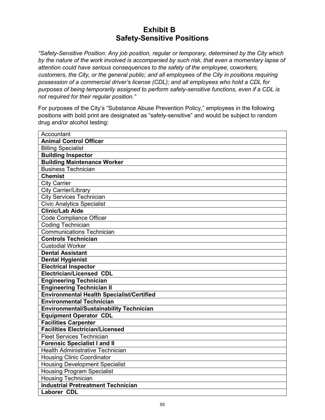## **Exhibit B Safety-Sensitive Positions**

<span id="page-58-0"></span>*"Safety-Sensitive Position: Any job position, regular or temporary, determined by the City which by the nature of the work involved is accompanied by such risk, that even a momentary lapse of attention could have serious consequences to the safety of the employee, coworkers, customers, the City, or the general public; and all employees of the City in positions requiring possession of a commercial driver's license (CDL); and all employees who hold a CDL for purposes of being temporarily assigned to perform safety-sensitive functions, even if a CDL is not required for their regular position."*

For purposes of the City's "Substance Abuse Prevention Policy," employees in the following positions with bold print are designated as "safety-sensitive" and would be subject to random drug and/or alcohol testing:

| Accountant                                       |
|--------------------------------------------------|
| <b>Animal Control Officer</b>                    |
| <b>Billing Specialist</b>                        |
| <b>Building Inspector</b>                        |
| <b>Building Maintenance Worker</b>               |
| <b>Business Technician</b>                       |
| <b>Chemist</b>                                   |
| <b>City Carrier</b>                              |
| <b>City Carrier/Library</b>                      |
| <b>City Services Technician</b>                  |
| <b>Civic Analytics Specialist</b>                |
| <b>Clinic/Lab Aide</b>                           |
| Code Compliance Officer                          |
| Coding Technician                                |
| <b>Communications Technician</b>                 |
| <b>Controls Technician</b>                       |
| <b>Custodial Worker</b>                          |
| <b>Dental Assistant</b>                          |
| <b>Dental Hygienist</b>                          |
| <b>Electrical Inspector</b>                      |
| <b>Electrician/Licensed CDL</b>                  |
| <b>Engineering Technician</b>                    |
| <b>Engineering Technician II</b>                 |
| <b>Environmental Health Specialist/Certified</b> |
| <b>Environmental Technician</b>                  |
| <b>Environmental/Sustainability Technician</b>   |
| <b>Equipment Operator CDL</b>                    |
| <b>Facilities Carpenter</b>                      |
| <b>Facilities Electrician/Licensed</b>           |
| <b>Fleet Services Technician</b>                 |
| <b>Forensic Specialist I and II</b>              |
| <b>Health Administrative Technician</b>          |
| <b>Housing Clinic Coordinator</b>                |
| <b>Housing Development Specialist</b>            |
| <b>Housing Program Specialist</b>                |
| <b>Housing Technician</b>                        |
| <b>Industrial Pretreatment Technician</b>        |
| <b>Laborer CDL</b>                               |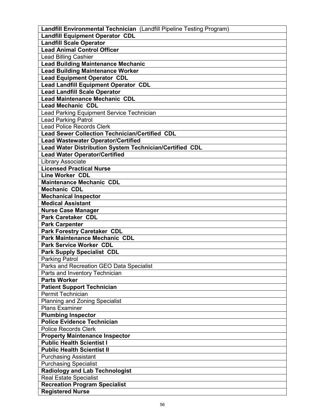| Landfill Environmental Technician (Landfill Pipeline Testing Program) |
|-----------------------------------------------------------------------|
| <b>Landfill Equipment Operator CDL</b>                                |
| <b>Landfill Scale Operator</b>                                        |
| <b>Lead Animal Control Officer</b>                                    |
| Lead Billing Cashier                                                  |
| <b>Lead Building Maintenance Mechanic</b>                             |
| <b>Lead Building Maintenance Worker</b>                               |
| <b>Lead Equipment Operator CDL</b>                                    |
| <b>Lead Landfill Equipment Operator CDL</b>                           |
| <b>Lead Landfill Scale Operator</b>                                   |
| <b>Lead Maintenance Mechanic CDL</b>                                  |
| <b>Lead Mechanic CDL</b>                                              |
| Lead Parking Equipment Service Technician                             |
| <b>Lead Parking Patrol</b>                                            |
| <b>Lead Police Records Clerk</b>                                      |
| <b>Lead Sewer Collection Technician/Certified CDL</b>                 |
| <b>Lead Wastewater Operator/Certified</b>                             |
|                                                                       |
| Lead Water Distribution System Technician/Certified CDL               |
| <b>Lead Water Operator/Certified</b>                                  |
| <b>Library Associate</b>                                              |
| <b>Licensed Practical Nurse</b>                                       |
| <b>Line Worker CDL</b>                                                |
| <b>Maintenance Mechanic CDL</b>                                       |
| <b>Mechanic CDL</b>                                                   |
| <b>Mechanical Inspector</b>                                           |
| <b>Medical Assistant</b>                                              |
| <b>Nurse Case Manager</b>                                             |
| <b>Park Caretaker CDL</b>                                             |
| <b>Park Carpenter</b>                                                 |
| <b>Park Forestry Caretaker CDL</b>                                    |
| <b>Park Maintenance Mechanic CDL</b>                                  |
| <b>Park Service Worker CDL</b>                                        |
| <b>Park Supply Specialist CDL</b>                                     |
| <b>Parking Patrol</b>                                                 |
| Parks and Recreation GEO Data Specialist                              |
| Parts and Inventory Technician                                        |
| <b>Parts Worker</b>                                                   |
| <b>Patient Support Technician</b>                                     |
| Permit Technician                                                     |
| <b>Planning and Zoning Specialist</b>                                 |
| <b>Plans Examiner</b>                                                 |
| <b>Plumbing Inspector</b>                                             |
| <b>Police Evidence Technician</b>                                     |
| <b>Police Records Clerk</b>                                           |
| <b>Property Maintenance Inspector</b>                                 |
| <b>Public Health Scientist I</b>                                      |
| <b>Public Health Scientist II</b>                                     |
| <b>Purchasing Assistant</b>                                           |
| <b>Purchasing Specialist</b>                                          |
| <b>Radiology and Lab Technologist</b>                                 |
| <b>Real Estate Specialist</b>                                         |
| <b>Recreation Program Specialist</b>                                  |
| <b>Registered Nurse</b>                                               |
|                                                                       |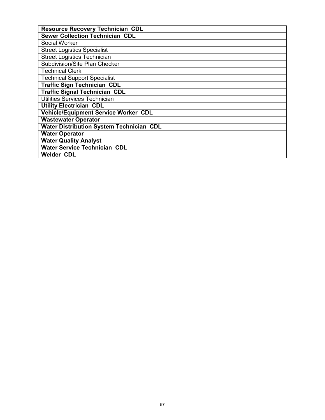| <b>Resource Recovery Technician CDL</b>         |
|-------------------------------------------------|
| <b>Sewer Collection Technician CDL</b>          |
| Social Worker                                   |
| <b>Street Logistics Specialist</b>              |
| <b>Street Logistics Technician</b>              |
| Subdivision/Site Plan Checker                   |
| <b>Technical Clerk</b>                          |
| <b>Technical Support Specialist</b>             |
| <b>Traffic Sign Technician CDL</b>              |
| <b>Traffic Signal Technician CDL</b>            |
| Utilities Services Technician                   |
| <b>Utility Electrician CDL</b>                  |
| Vehicle/Equipment Service Worker CDL            |
| <b>Wastewater Operator</b>                      |
| <b>Water Distribution System Technician CDL</b> |
| <b>Water Operator</b>                           |
| <b>Water Quality Analyst</b>                    |
| <b>Water Service Technician CDL</b>             |
| <b>Welder CDL</b>                               |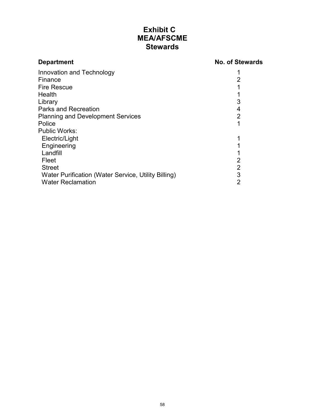## **Exhibit C MEA/AFSCME Stewards**

<span id="page-61-0"></span>

| <b>Department</b>                                   | <b>No. of Stewards</b> |
|-----------------------------------------------------|------------------------|
| Innovation and Technology                           |                        |
| Finance                                             | 2                      |
| <b>Fire Rescue</b>                                  |                        |
| Health                                              |                        |
| Library                                             | 3                      |
| <b>Parks and Recreation</b>                         | 4                      |
| <b>Planning and Development Services</b>            | $\overline{2}$         |
| Police                                              |                        |
| <b>Public Works:</b>                                |                        |
| Electric/Light                                      |                        |
| Engineering                                         |                        |
| Landfill                                            |                        |
| Fleet                                               | 2                      |
| <b>Street</b>                                       | 2                      |
| Water Purification (Water Service, Utility Billing) | 3                      |
| <b>Water Reclamation</b>                            | 2                      |
|                                                     |                        |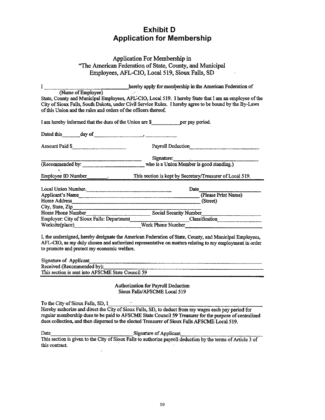## **Exhibit D Application for Membership**

#### <span id="page-62-0"></span>Application For Membership in "The American Federation of State, County, and Municipal Employees, AFL-CIO, Local 519, Sioux Falls, SD

| $\mathbf{I}$<br>(Name of Employee)<br>of this Union and the rules and orders of the officers thereof. | hereby apply for membership in the American Federation of<br>State, County and Municipal Employees, AFL-CIO, Local 519. I hereby State that I am an employee of the<br>City of Sioux Falls, South Dakota, under Civil Service Rules. I hereby agree to be bound by the By-Laws |
|-------------------------------------------------------------------------------------------------------|--------------------------------------------------------------------------------------------------------------------------------------------------------------------------------------------------------------------------------------------------------------------------------|
| I am hereby informed that the dues of the Union are \$ per pay period.                                |                                                                                                                                                                                                                                                                                |
|                                                                                                       |                                                                                                                                                                                                                                                                                |
|                                                                                                       |                                                                                                                                                                                                                                                                                |
| Amount Paid \$                                                                                        | Payroll Deduction                                                                                                                                                                                                                                                              |
|                                                                                                       | Signature:                                                                                                                                                                                                                                                                     |
|                                                                                                       | (Recommended by: who is a Union Member is good standing.)                                                                                                                                                                                                                      |
|                                                                                                       |                                                                                                                                                                                                                                                                                |
|                                                                                                       | Employee ID Number<br>Consumer Changes Consumer School Stept by Secretary/Treasurer of Local 519.                                                                                                                                                                              |
|                                                                                                       |                                                                                                                                                                                                                                                                                |
| Local Union Number.                                                                                   | Date                                                                                                                                                                                                                                                                           |
| Applicant's Name                                                                                      | (Please Print Name)                                                                                                                                                                                                                                                            |
| Home Address (Street) (Street)                                                                        |                                                                                                                                                                                                                                                                                |
|                                                                                                       |                                                                                                                                                                                                                                                                                |
| Home Phone Number                                                                                     | Social Security Number                                                                                                                                                                                                                                                         |
|                                                                                                       | Employer: City of Sioux Falls: Department Classification Classification                                                                                                                                                                                                        |
|                                                                                                       | Worksite(place) Work Phone Number                                                                                                                                                                                                                                              |
| to promote and protect my economic welfare.                                                           | I, the undersigned, hereby designate the American Federation of State, County, and Municipal Employees,<br>AFL-CIO, as my duly chosen and authorized representative on matters relating to my employment in order                                                              |
| Signature of Applicant                                                                                |                                                                                                                                                                                                                                                                                |
| Received (Recommended by):                                                                            |                                                                                                                                                                                                                                                                                |
| This section is sent into AFSCME State Council 59                                                     |                                                                                                                                                                                                                                                                                |
|                                                                                                       | Authorization for Payroll Deduction<br>Sioux Falls/AFSCME Local 519                                                                                                                                                                                                            |

To the City of Sioux Falls, SD, I Hereby authorize and direct the City of Sioux Falls, SD, to deduct from my wages each pay period for regular membership dues to be paid to AFSCME State Council 59 Treasurer for the purpose of centralized dues collection, and then dispersed to the elected Treasurer of Sioux Falls AFSCME Local 519.

Date

**Signature of Applicant** 

This section is given to the City of Sioux Falls to authorize payroll deduction by the terms of Article 3 of this contract.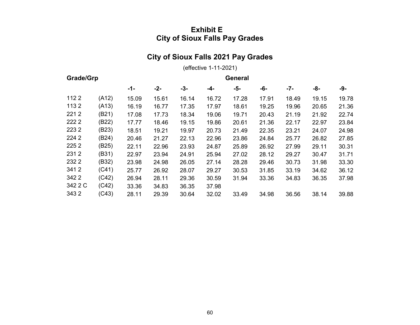## **Exhibit E City of Sioux Falls Pay Grades**

# **City of Sioux Falls 2021 Pay Grades**

(effective 1-11-2021)

<span id="page-63-0"></span>

| Grade/Grp |       |       | <b>General</b> |       |       |       |       |       |       |       |
|-----------|-------|-------|----------------|-------|-------|-------|-------|-------|-------|-------|
|           |       | $-1-$ | $-2-$          | -3-   | -4-   | -5-   | -6-   | -7-   | -8-   | -9-   |
| 1122      | (A12) | 15.09 | 15.61          | 16.14 | 16.72 | 17.28 | 17.91 | 18.49 | 19.15 | 19.78 |
| 1132      | (A13) | 16.19 | 16.77          | 17.35 | 17.97 | 18.61 | 19.25 | 19.96 | 20.65 | 21.36 |
| 2212      | (B21) | 17.08 | 17.73          | 18.34 | 19.06 | 19.71 | 20.43 | 21.19 | 21.92 | 22.74 |
| 222 2     | (B22) | 17.77 | 18.46          | 19.15 | 19.86 | 20.61 | 21.36 | 22.17 | 22.97 | 23.84 |
| 2232      | (B23) | 18.51 | 19.21          | 19.97 | 20.73 | 21.49 | 22.35 | 23.21 | 24.07 | 24.98 |
| 224 2     | (B24) | 20.46 | 21.27          | 22.13 | 22.96 | 23.86 | 24.84 | 25.77 | 26.82 | 27.85 |
| 225 2     | (B25) | 22.11 | 22.96          | 23.93 | 24.87 | 25.89 | 26.92 | 27.99 | 29.11 | 30.31 |
| 2312      | (B31) | 22.97 | 23.94          | 24.91 | 25.94 | 27.02 | 28.12 | 29.27 | 30.47 | 31.71 |
| 232 2     | (B32) | 23.98 | 24.98          | 26.05 | 27.14 | 28.28 | 29.46 | 30.73 | 31.98 | 33.30 |
| 3412      | (C41) | 25.77 | 26.92          | 28.07 | 29.27 | 30.53 | 31.85 | 33.19 | 34.62 | 36.12 |
| 342 2     | (C42) | 26.94 | 28.11          | 29.36 | 30.59 | 31.94 | 33.36 | 34.83 | 36.35 | 37.98 |
| 342 2 C   | (C42) | 33.36 | 34.83          | 36.35 | 37.98 |       |       |       |       |       |
| 343 2     | (C43) | 28.11 | 29.39          | 30.64 | 32.02 | 33.49 | 34.98 | 36.56 | 38.14 | 39.88 |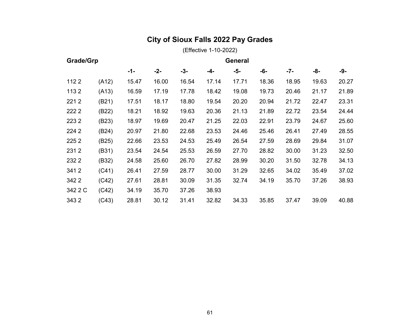# **City of Sioux Falls 2022 Pay Grades**

(Effective 1-10-2022)

| Grade/Grp |       |       |       | General |       |       |       |       |       |       |
|-----------|-------|-------|-------|---------|-------|-------|-------|-------|-------|-------|
|           |       | -1-   | $-2-$ | $-3-$   | -4-   | -5-   | -6-   | -7-   | -8-   | -9-   |
| 1122      | (A12) | 15.47 | 16.00 | 16.54   | 17.14 | 17.71 | 18.36 | 18.95 | 19.63 | 20.27 |
| 1132      | (A13) | 16.59 | 17.19 | 17.78   | 18.42 | 19.08 | 19.73 | 20.46 | 21.17 | 21.89 |
| 2212      | (B21) | 17.51 | 18.17 | 18.80   | 19.54 | 20.20 | 20.94 | 21.72 | 22.47 | 23.31 |
| 222 2     | (B22) | 18.21 | 18.92 | 19.63   | 20.36 | 21.13 | 21.89 | 22.72 | 23.54 | 24.44 |
| 2232      | (B23) | 18.97 | 19.69 | 20.47   | 21.25 | 22.03 | 22.91 | 23.79 | 24.67 | 25.60 |
| 224 2     | (B24) | 20.97 | 21.80 | 22.68   | 23.53 | 24.46 | 25.46 | 26.41 | 27.49 | 28.55 |
| 225 2     | (B25) | 22.66 | 23.53 | 24.53   | 25.49 | 26.54 | 27.59 | 28.69 | 29.84 | 31.07 |
| 2312      | (B31) | 23.54 | 24.54 | 25.53   | 26.59 | 27.70 | 28.82 | 30.00 | 31.23 | 32.50 |
| 232 2     | (B32) | 24.58 | 25.60 | 26.70   | 27.82 | 28.99 | 30.20 | 31.50 | 32.78 | 34.13 |
| 3412      | (C41) | 26.41 | 27.59 | 28.77   | 30.00 | 31.29 | 32.65 | 34.02 | 35.49 | 37.02 |
| 342 2     | (C42) | 27.61 | 28.81 | 30.09   | 31.35 | 32.74 | 34.19 | 35.70 | 37.26 | 38.93 |
| 342 2 C   | (C42) | 34.19 | 35.70 | 37.26   | 38.93 |       |       |       |       |       |
| 343 2     | (C43) | 28.81 | 30.12 | 31.41   | 32.82 | 34.33 | 35.85 | 37.47 | 39.09 | 40.88 |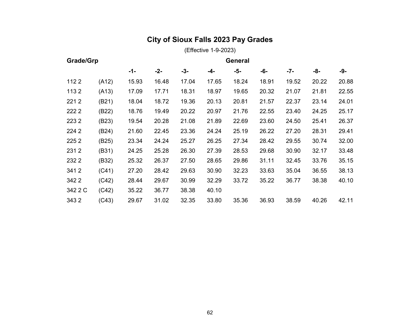# **City of Sioux Falls 2023 Pay Grades**

(Effective 1-9-2023)

|         | Grade/Grp<br><b>General</b> |       |       |       |       |       |       |       |       |       |
|---------|-----------------------------|-------|-------|-------|-------|-------|-------|-------|-------|-------|
|         |                             | $-1-$ | -2-   | $-3-$ | -4-   | -5-   | -6-   | $-7-$ | -8-   | -9-   |
| 1122    | (A12)                       | 15.93 | 16.48 | 17.04 | 17.65 | 18.24 | 18.91 | 19.52 | 20.22 | 20.88 |
| 1132    | (A13)                       | 17.09 | 17.71 | 18.31 | 18.97 | 19.65 | 20.32 | 21.07 | 21.81 | 22.55 |
| 2212    | (B21)                       | 18.04 | 18.72 | 19.36 | 20.13 | 20.81 | 21.57 | 22.37 | 23.14 | 24.01 |
| 222 2   | (B22)                       | 18.76 | 19.49 | 20.22 | 20.97 | 21.76 | 22.55 | 23.40 | 24.25 | 25.17 |
| 2232    | (B23)                       | 19.54 | 20.28 | 21.08 | 21.89 | 22.69 | 23.60 | 24.50 | 25.41 | 26.37 |
| 224 2   | (B24)                       | 21.60 | 22.45 | 23.36 | 24.24 | 25.19 | 26.22 | 27.20 | 28.31 | 29.41 |
| 225 2   | (B25)                       | 23.34 | 24.24 | 25.27 | 26.25 | 27.34 | 28.42 | 29.55 | 30.74 | 32.00 |
| 2312    | (B31)                       | 24.25 | 25.28 | 26.30 | 27.39 | 28.53 | 29.68 | 30.90 | 32.17 | 33.48 |
| 232 2   | (B32)                       | 25.32 | 26.37 | 27.50 | 28.65 | 29.86 | 31.11 | 32.45 | 33.76 | 35.15 |
| 3412    | (C41)                       | 27.20 | 28.42 | 29.63 | 30.90 | 32.23 | 33.63 | 35.04 | 36.55 | 38.13 |
| 342 2   | (C42)                       | 28.44 | 29.67 | 30.99 | 32.29 | 33.72 | 35.22 | 36.77 | 38.38 | 40.10 |
| 342 2 C | (C42)                       | 35.22 | 36.77 | 38.38 | 40.10 |       |       |       |       |       |
| 3432    | (C43)                       | 29.67 | 31.02 | 32.35 | 33.80 | 35.36 | 36.93 | 38.59 | 40.26 | 42.11 |